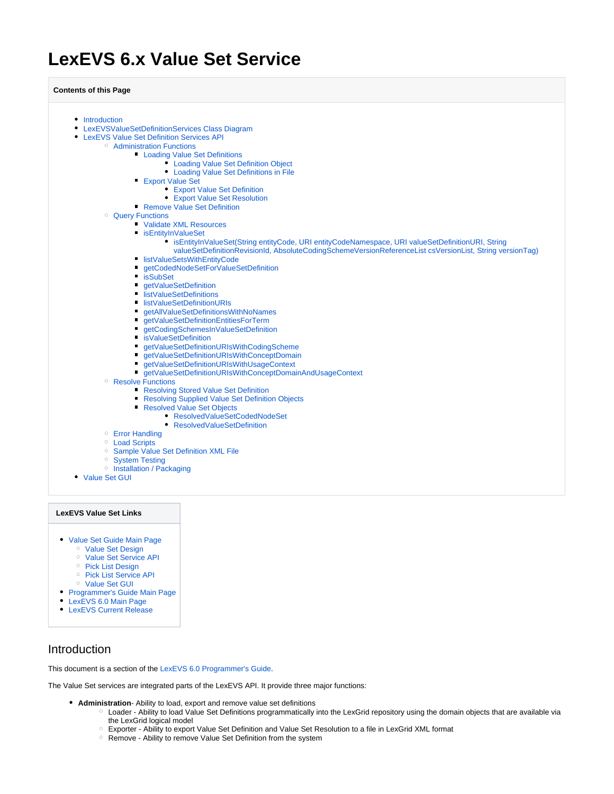# <span id="page-0-1"></span>**LexEVS 6.x Value Set Service**

**Contents of this Page**

- [Introduction](#page-0-0) [LexEVSValueSetDefinitionServices Class Diagram](#page-1-0) [LexEVS Value Set Definition Services API](#page-1-1) <sup>o</sup> [Administration Functions](#page-1-2) **[Loading Value Set Definitions](#page-2-0)** [Loading Value Set Definition Object](#page-2-1) [Loading Value Set Definitions in File](#page-2-2) **[Export Value Set](#page-3-0)** [Export Value Set Definition](#page-3-1) [Export Value Set Resolution](#page-4-0) **[Remove Value Set Definition](#page-4-1)** [Query Functions](#page-5-0) [Validate XML Resources](#page-5-1) **[isEntityInValueSet](#page-5-2)** [isEntityInValueSet\(String entityCode, URI entityCodeNamespace, URI valueSetDefinitionURI, String](#page-6-0)  [valueSetDefinitionRevisionId, AbsoluteCodingSchemeVersionReferenceList csVersionList, String versionTag\)](#page-6-0) **I**[listValueSetsWithEntityCode](#page-7-0) ■ [getCodedNodeSetForValueSetDefinition](#page-8-0) **[isSubSet](#page-9-0)** ■ [getValueSetDefinition](#page-10-0) ■ [listValueSetDefinitions](#page-10-1) ■ [listValueSetDefinitionURIs](#page-11-0) ■ [getAllValueSetDefinitionsWithNoNames](#page-11-1) ■ [getValueSetDefinitionEntitiesForTerm](#page-12-0) ■ [getCodingSchemesInValueSetDefinition](#page-13-0) [isValueSetDefinition](#page-13-1) ■ [getValueSetDefinitionURIsWithCodingScheme](#page-14-0) ■ detValueSetDefinitionURIsWithConceptDomain ■ [getValueSetDefinitionURIsWithUsageContext](#page-15-0) ■ [getValueSetDefinitionURIsWithConceptDomainAndUsageContext](#page-15-1) <sup>o</sup> [Resolve Functions](#page-16-0) **[Resolving Stored Value Set Definition](#page-16-1) [Resolving Supplied Value Set Definition Objects](#page-17-0)** [Resolved Value Set Objects](#page-18-0) ● [ResolvedValueSetCodedNodeSet](#page-18-1) [ResolvedValueSetDefinition](#page-19-0) [Error Handling](#page-19-1) <sup>o</sup> [Load Scripts](#page-19-2) <sup>o</sup> [Sample Value Set Definition XML File](#page-19-3) <sup>o</sup> [System Testing](#page-20-0) <sup>o</sup> [Installation / Packaging](#page-20-1) [Value Set GUI](#page-20-2) **LexEVS Value Set Links**
- [Value Set Guide Main Page](https://wiki.nci.nih.gov/display/LexEVS/LexEVS+6.x+Value+Set+and+Pick+List+Definition+Guide)
	- o [Value Set Design](https://wiki.nci.nih.gov/display/LexEVS/LexEVS+6.x+Value+Set+Detailed+Design)
	- <sup>o</sup> [Value Set Service API](#page-0-1)
	- o [Pick List Design](https://wiki.nci.nih.gov/display/LexEVS/LexEVS+6.x+Pick+List+Detailed+Design)
	-
	- <sup>o</sup> [Pick List Service API](https://wiki.nci.nih.gov/display/LexEVS/LexEVS+6.x+Pick+List+Service)
	- <sup>o</sup> [Value Set GUI](https://wiki.nci.nih.gov/display/LexEVS/LexEVS+6.x+Value+Set+GUI)
- [Programmer's Guide Main Page](https://wiki.nci.nih.gov/display/LexEVS/LexEVS+6.x+API+Programmer%27s+Guide)
- [LexEVS 6.0 Main Page](https://wiki.nci.nih.gov/display/LexEVS/LexEVS+6.0)
- [LexEVS Current Release](https://wiki.nci.nih.gov/display/LexEVS/LexEVS)

### <span id="page-0-0"></span>Introduction

This document is a section of the [LexEVS 6.0 Programmer's Guide](https://wiki.nci.nih.gov/display/LexEVS/LexEVS+6.x+API+Programmer%27s+Guide).

The Value Set services are integrated parts of the LexEVS API. It provide three major functions:

- **Administration** Ability to load, export and remove value set definitions
	- Loader Ability to load Value Set Definitions programmatically into the LexGrid repository using the domain objects that are available via the LexGrid logical model
	- Exporter Ability to export Value Set Definition and Value Set Resolution to a file in LexGrid XML format
	- o Remove Ability to remove Value Set Definition from the system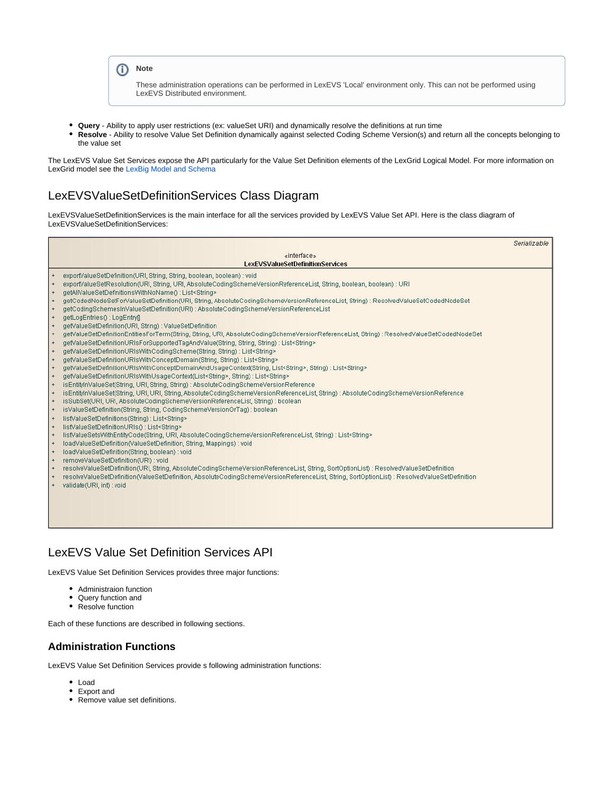### **Note**

These administration operations can be performed in LexEVS 'Local' environment only. This can not be performed using LexEVS Distributed environment.

- **Query** Ability to apply user restrictions (ex: valueSet URI) and dynamically resolve the definitions at run time
- **Resolve** Ability to resolve Value Set Definition dynamically against selected Coding Scheme Version(s) and return all the concepts belonging to the value set

The LexEVS Value Set Services expose the API particularly for the Value Set Definition elements of the LexGrid Logical Model. For more information on LexGrid model see the [LexBig Model and Schema](https://wiki.nci.nih.gov/display/LexEVS/LexBig+Model+and+Schema)

# <span id="page-1-0"></span>LexEVSValueSetDefinitionServices Class Diagram

LexEVSValueSetDefinitionServices is the main interface for all the services provided by LexEVS Value Set API. Here is the class diagram of LexEVSValueSetDefinitionServices:

|            |                                                                                                                                              | Serializable |
|------------|----------------------------------------------------------------------------------------------------------------------------------------------|--------------|
|            | «interface»                                                                                                                                  |              |
|            | <b>LexEVSValueSetDefinitionServices</b>                                                                                                      |              |
|            | exportValueSetDefinition(URI, String, String, boolean, boolean) : void                                                                       |              |
|            | exportValueSetResolution(URI, String, URI, AbsoluteCodingSchemeVersionReferenceList, String, boolean, boolean): URI                          |              |
| $\ddot{}$  | getAllValueSetDefinitionsWithNoName() : List <string></string>                                                                               |              |
| $\ddot{}$  | getCodedNodeSetForValueSetDefinition(URI, String, AbsoluteCodingSchemeVersionReferenceList, String) : ResolvedValueSetCodedNodeSet           |              |
| $\ddot{}$  | getCodingSchemesInValueSetDefinition(URI) : AbsoluteCodingSchemeVersionReferenceList                                                         |              |
| $+$        | getLogEntries(): LogEntry[]                                                                                                                  |              |
| $\ddot{}$  | getValueSetDefinition(URI, String) : ValueSetDefinition                                                                                      |              |
| $\ddot{}$  | getValueSetDefinitionEntitiesForTerm(String, String, URI, AbsoluteCodingSchemeVersionReferenceList, String) : ResolvedValueSetCodedNodeSet   |              |
| $+$        | getValueSetDefinitionURIsForSupportedTagAndValue(String, String, String) : List <string></string>                                            |              |
| $+$        | getValueSetDefinitionURIsWithCodingScheme(String, String) : List <string></string>                                                           |              |
| $+$        | getValueSetDefinitionURIsWithConceptDomain(String, String) : List <string></string>                                                          |              |
| $\ddot{}$  | getValueSetDefinitionURIsWithConceptDomainAndUsageContext(String, List <string>, String) : List<string></string></string>                    |              |
| $+$        | getValueSetDefinitionURIsWithUsageContext(List <string>, String) : List<string></string></string>                                            |              |
| $+$        | isEntityInValueSet(String, URI, String, String): AbsoluteCodingSchemeVersionReference                                                        |              |
| $+$        | isEntityInValueSet(String, URI, URI, String, AbsoluteCodingSchemeVersionReferenceList, String) : AbsoluteCodingSchemeVersionReference        |              |
| $+$        | isSubSet(URI, URI, AbsoluteCodingSchemeVersionReferenceList, String) : boolean                                                               |              |
| $+$        | isValueSetDefinition(String, String, CodingSchemeVersionOrTag) : boolean                                                                     |              |
| $+$        | listValueSetDefinitions(String) : List <string></string>                                                                                     |              |
| $\ddot{}$  | listValueSetDefinitionURIs(): List <string></string>                                                                                         |              |
| $+$        | listValueSetsWithEntityCode(String, URI, AbsoluteCodingSchemeVersionReferenceList, String) : List <string></string>                          |              |
| $+$        | loadValueSetDefinition(ValueSetDefinition, String, Mappings) : void                                                                          |              |
| $+$<br>$+$ | loadValueSetDefinition(String, boolean) : void<br>removeValueSetDefinition(URI) : void                                                       |              |
| $+$        | resolveValueSetDefinition(URI, String, AbsoluteCodingSchemeVersionReferenceList, String, SortOptionList): ResolvedValueSetDefinition         |              |
| $+$        | resolveValueSetDefinition(ValueSetDefinition, AbsoluteCodingSchemeVersionReferenceList, String, SortOptionList) : ResolvedValueSetDefinition |              |
| $+$        | validate(URI, int) : void                                                                                                                    |              |
|            |                                                                                                                                              |              |
|            |                                                                                                                                              |              |
|            |                                                                                                                                              |              |
|            |                                                                                                                                              |              |
|            |                                                                                                                                              |              |
|            |                                                                                                                                              |              |

# <span id="page-1-1"></span>LexEVS Value Set Definition Services API

LexEVS Value Set Definition Services provides three major functions:

- Administraion function
- Query function and
- Resolve function

Each of these functions are described in following sections.

### <span id="page-1-2"></span>**Administration Functions**

LexEVS Value Set Definition Services provide s following administration functions:

- Load
- Export and
- Remove value set definitions.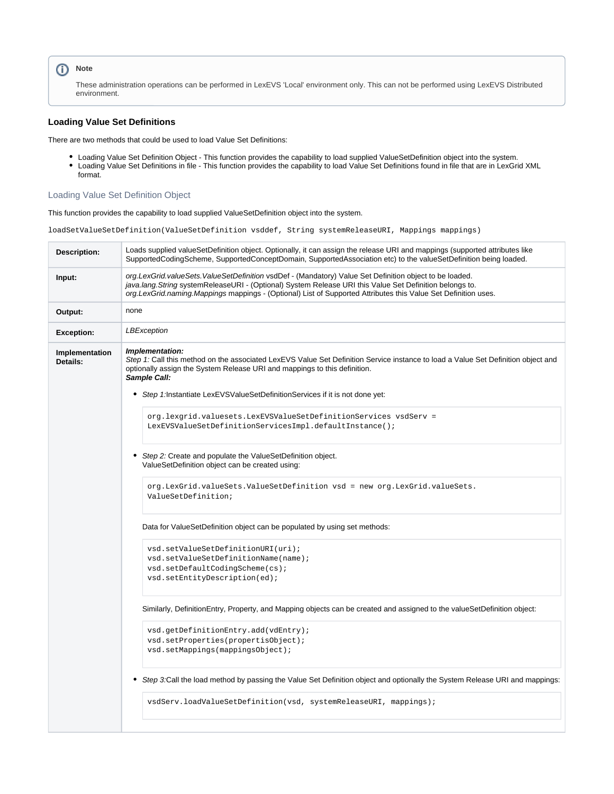### **Note**

These administration operations can be performed in LexEVS 'Local' environment only. This can not be performed using LexEVS Distributed environment.

#### <span id="page-2-0"></span>**Loading Value Set Definitions**

There are two methods that could be used to load Value Set Definitions:

- Loading Value Set Definition Object This function provides the capability to load supplied ValueSetDefinition object into the system.
- Loading Value Set Definitions in file This function provides the capability to load Value Set Definitions found in file that are in LexGrid XML format.

#### <span id="page-2-1"></span>Loading Value Set Definition Object

This function provides the capability to load supplied ValueSetDefinition object into the system.

loadSetValueSetDefinition(ValueSetDefinition vsddef, String systemReleaseURI, Mappings mappings)

<span id="page-2-2"></span>

| Description:               | Loads supplied valueSetDefinition object. Optionally, it can assign the release URI and mappings (supported attributes like<br>SupportedCodingScheme, SupportedConceptDomain, SupportedAssociation etc) to the valueSetDefinition being loaded.                                                                                                                                                                                                                                                                                                                                                                                                                                                                                                                       |
|----------------------------|-----------------------------------------------------------------------------------------------------------------------------------------------------------------------------------------------------------------------------------------------------------------------------------------------------------------------------------------------------------------------------------------------------------------------------------------------------------------------------------------------------------------------------------------------------------------------------------------------------------------------------------------------------------------------------------------------------------------------------------------------------------------------|
| Input:                     | org.LexGrid.valueSets.ValueSetDefinition vsdDef - (Mandatory) Value Set Definition object to be loaded.<br>java.lang. String system Release URI - (Optional) System Release URI this Value Set Definition belongs to.<br>org.LexGrid.naming.Mappings mappings - (Optional) List of Supported Attributes this Value Set Definition uses.                                                                                                                                                                                                                                                                                                                                                                                                                               |
| Output:                    | none                                                                                                                                                                                                                                                                                                                                                                                                                                                                                                                                                                                                                                                                                                                                                                  |
| <b>Exception:</b>          | LBException                                                                                                                                                                                                                                                                                                                                                                                                                                                                                                                                                                                                                                                                                                                                                           |
| Implementation<br>Details: | Implementation:<br>Step 1: Call this method on the associated LexEVS Value Set Definition Service instance to load a Value Set Definition object and<br>optionally assign the System Release URI and mappings to this definition.<br>Sample Call:<br>٠<br>Step 1:Instantiate LexEVSValueSetDefinitionServices if it is not done yet:<br>org.lexgrid.valuesets.LexEVSValueSetDefinitionServices vsdServ =<br>LexEVSValueSetDefinitionServicesImpl.defaultInstance();<br>Step 2: Create and populate the ValueSetDefinition object.<br>ValueSetDefinition object can be created using:<br>org.LexGrid.valueSets.ValueSetDefinition vsd = new org.LexGrid.valueSets.<br>ValueSetDefinition;<br>Data for ValueSetDefinition object can be populated by using set methods: |
|                            | vsd.setValueSetDefinitionURI(uri);<br>vsd.setValueSetDefinitionName(name);<br>vsd.setDefaultCodingScheme(cs);<br>vsd.setEntityDescription(ed);<br>Similarly, DefinitionEntry, Property, and Mapping objects can be created and assigned to the valueSetDefinition object:<br>vsd.getDefinitionEntry.add(vdEntry);<br>vsd.setProperties(propertisObject);<br>vsd.setMappings(mappingsObject);<br>Step 3:Call the load method by passing the Value Set Definition object and optionally the System Release URI and mappings:<br>٠<br>vsdServ.loadValueSetDefinition(vsd, systemReleaseURI, mappings);                                                                                                                                                                   |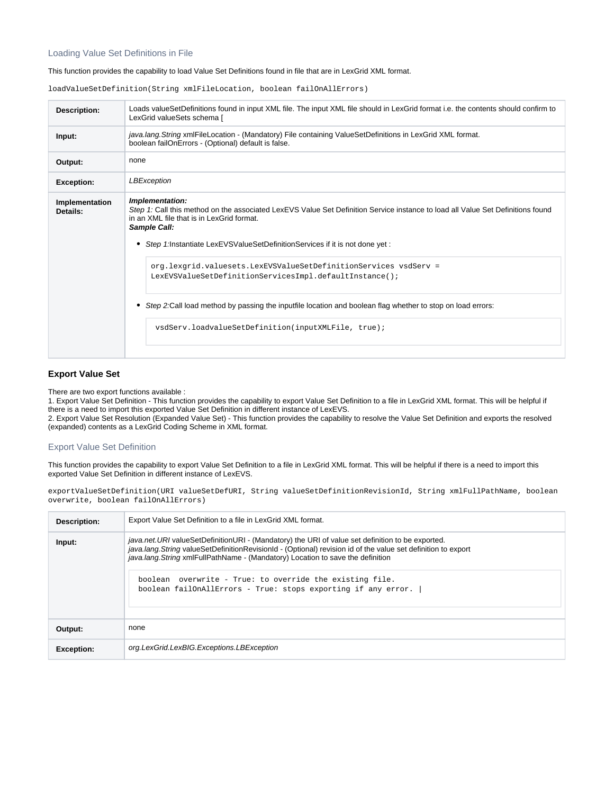#### Loading Value Set Definitions in File

#### This function provides the capability to load Value Set Definitions found in file that are in LexGrid XML format.

loadValueSetDefinition(String xmlFileLocation, boolean failOnAllErrors)

| Description:               | Loads valueSetDefinitions found in input XML file. The input XML file should in LexGrid format i.e. the contents should confirm to<br>LexGrid valueSets schema [                                                                                                                                  |
|----------------------------|---------------------------------------------------------------------------------------------------------------------------------------------------------------------------------------------------------------------------------------------------------------------------------------------------|
| Input:                     | java.lang. String xmlFileLocation - (Mandatory) File containing ValueSetDefinitions in LexGrid XML format.<br>boolean failOnErrors - (Optional) default is false.                                                                                                                                 |
| Output:                    | none                                                                                                                                                                                                                                                                                              |
| <b>Exception:</b>          | LBException                                                                                                                                                                                                                                                                                       |
| Implementation<br>Details: | Implementation:<br>Step 1: Call this method on the associated LexEVS Value Set Definition Service instance to load all Value Set Definitions found<br>in an XML file that is in LexGrid format.<br>Sample Call:<br>• Step 1: Instantiate LexEVSValueSetDefinitionServices if it is not done yet : |
|                            | org.lexgrid.valuesets.LexEVSValueSetDefinitionServices vsdServ =<br>LexEVSValueSetDefinitionServicesImpl.defaultInstance();<br>Step 2:Call load method by passing the inputfile location and boolean flag whether to stop on load errors:<br>vsdServ.loadvalueSetDefinition(inputXMLFile, true);  |

#### <span id="page-3-0"></span>**Export Value Set**

There are two export functions available :

1. Export Value Set Definition - This function provides the capability to export Value Set Definition to a file in LexGrid XML format. This will be helpful if there is a need to import this exported Value Set Definition in different instance of LexEVS.

2. Export Value Set Resolution (Expanded Value Set) - This function provides the capability to resolve the Value Set Definition and exports the resolved (expanded) contents as a LexGrid Coding Scheme in XML format.

#### <span id="page-3-1"></span>Export Value Set Definition

This function provides the capability to export Value Set Definition to a file in LexGrid XML format. This will be helpful if there is a need to import this exported Value Set Definition in different instance of LexEVS.

exportValueSetDefinition(URI valueSetDefURI, String valueSetDefinitionRevisionId, String xmlFullPathName, boolean overwrite, boolean failOnAllErrors)

| Description:      | Export Value Set Definition to a file in LexGrid XML format.                                                                                                                                                                                                                                                                                                                                                                      |
|-------------------|-----------------------------------------------------------------------------------------------------------------------------------------------------------------------------------------------------------------------------------------------------------------------------------------------------------------------------------------------------------------------------------------------------------------------------------|
| Input:            | java.net.URI valueSetDefinitionURI - (Mandatory) the URI of value set definition to be exported.<br>java.lang. String valueSetDefinitionRevisionId - (Optional) revision id of the value set definition to export<br>java.lang. String xmlFullPathName - (Mandatory) Location to save the definition<br>boolean overwrite - True: to override the existing file.<br>boolean failOnAllErrors - True: stops exporting if any error. |
| Output:           | none                                                                                                                                                                                                                                                                                                                                                                                                                              |
| <b>Exception:</b> | org.LexGrid.LexBIG.Exceptions.LBException                                                                                                                                                                                                                                                                                                                                                                                         |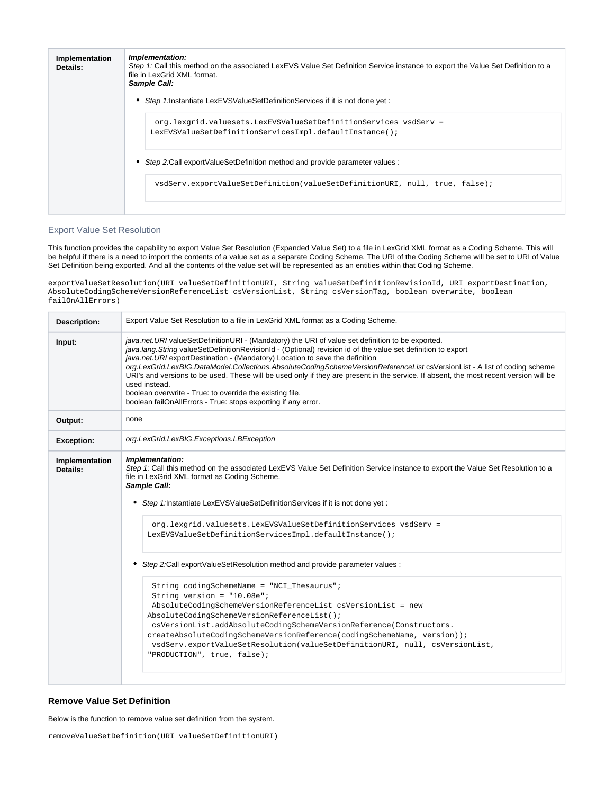| Implementation<br>Details: | Implementation:<br>Step 1: Call this method on the associated LexEVS Value Set Definition Service instance to export the Value Set Definition to a<br>file in LexGrid XML format.<br>Sample Call: |
|----------------------------|---------------------------------------------------------------------------------------------------------------------------------------------------------------------------------------------------|
|                            | Step 1: Instantiate LexEVSValueSetDefinitionServices if it is not done yet:                                                                                                                       |
|                            | org.lexgrid.valuesets.LexEVSValueSetDefinitionServices vsdServ =<br>LexEVSValueSetDefinitionServicesImpl.defaultInstance();                                                                       |
|                            | Step 2:Call exportValueSetDefinition method and provide parameter values :                                                                                                                        |
|                            | vsdServ.exportValueSetDefinition(valueSetDefinitionURI, null, true, false);                                                                                                                       |
|                            |                                                                                                                                                                                                   |

#### <span id="page-4-0"></span>Export Value Set Resolution

This function provides the capability to export Value Set Resolution (Expanded Value Set) to a file in LexGrid XML format as a Coding Scheme. This will be helpful if there is a need to import the contents of a value set as a separate Coding Scheme. The URI of the Coding Scheme will be set to URI of Value Set Definition being exported. And all the contents of the value set will be represented as an entities within that Coding Scheme.

exportValueSetResolution(URI valueSetDefinitionURI, String valueSetDefinitionRevisionId, URI exportDestination, AbsoluteCodingSchemeVersionReferenceList csVersionList, String csVersionTag, boolean overwrite, boolean failOnAllErrors)

| <b>Description:</b>        | Export Value Set Resolution to a file in LexGrid XML format as a Coding Scheme.                                                                                                                                                                                                                                                                                                                                                                                                                                                                                                                                                                                                                                                                                                                                                                                                                                                                                                      |
|----------------------------|--------------------------------------------------------------------------------------------------------------------------------------------------------------------------------------------------------------------------------------------------------------------------------------------------------------------------------------------------------------------------------------------------------------------------------------------------------------------------------------------------------------------------------------------------------------------------------------------------------------------------------------------------------------------------------------------------------------------------------------------------------------------------------------------------------------------------------------------------------------------------------------------------------------------------------------------------------------------------------------|
| Input:                     | java.net.URI valueSetDefinitionURI - (Mandatory) the URI of value set definition to be exported.<br>java.lang. String valueSetDefinitionRevisionId - (Optional) revision id of the value set definition to export<br>java.net.URI exportDestination - (Mandatory) Location to save the definition<br>org.LexGrid.LexBIG.DataModel.Collections.AbsoluteCodingSchemeVersionReferenceList csVersionList - A list of coding scheme<br>URI's and versions to be used. These will be used only if they are present in the service. If absent, the most recent version will be<br>used instead.<br>boolean overwrite - True: to override the existing file.<br>boolean failOnAllErrors - True: stops exporting if any error.                                                                                                                                                                                                                                                                |
| Output:                    | none                                                                                                                                                                                                                                                                                                                                                                                                                                                                                                                                                                                                                                                                                                                                                                                                                                                                                                                                                                                 |
| <b>Exception:</b>          | org.LexGrid.LexBIG.Exceptions.LBException                                                                                                                                                                                                                                                                                                                                                                                                                                                                                                                                                                                                                                                                                                                                                                                                                                                                                                                                            |
| Implementation<br>Details: | Implementation:<br>Step 1: Call this method on the associated LexEVS Value Set Definition Service instance to export the Value Set Resolution to a<br>file in LexGrid XML format as Coding Scheme.<br>Sample Call:<br>Step 1:Instantiate LexEVSValueSetDefinitionServices if it is not done yet :<br>٠<br>org.lexgrid.valuesets.LexEVSValueSetDefinitionServices vsdServ =<br>LexEVSValueSetDefinitionServicesImpl.defaultInstance();<br>• Step 2:Call exportValueSetResolution method and provide parameter values :<br>String codingSchemeName = "NCI_Thesaurus";<br>String version = $"10.08e"$ ;<br>AbsoluteCodingSchemeVersionReferenceList csVersionList = new<br>AbsoluteCodingSchemeVersionReferenceList();<br>csVersionList.addAbsoluteCodingSchemeVersionReference(Constructors.<br>createAbsoluteCodingSchemeVersionReference(codingSchemeName, version));<br>vsdServ.exportValueSetResolution(valueSetDefinitionURI, null, csVersionList,<br>"PRODUCTION", true, false); |

#### <span id="page-4-1"></span>**Remove Value Set Definition**

Below is the function to remove value set definition from the system.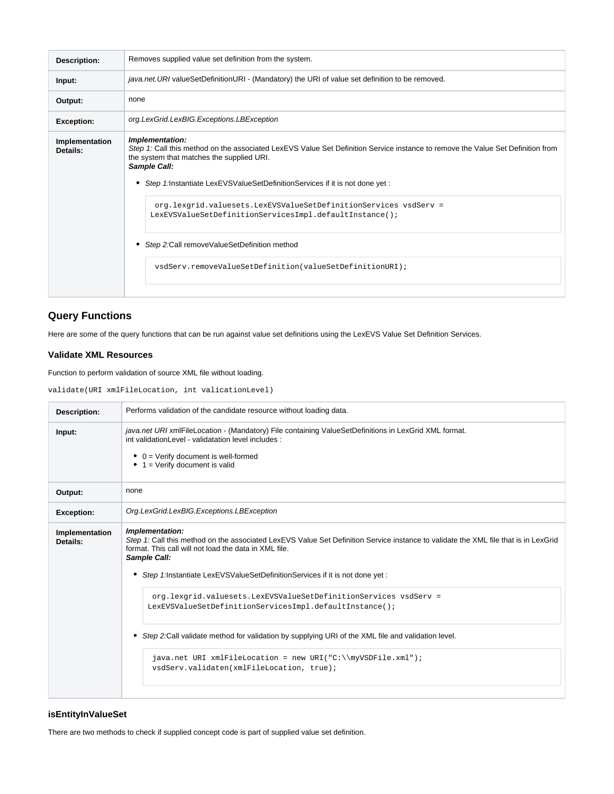| <b>Description:</b>        | Removes supplied value set definition from the system.                                                                                                                                                                                                                                                                                                                                                                                                                                                                                       |
|----------------------------|----------------------------------------------------------------------------------------------------------------------------------------------------------------------------------------------------------------------------------------------------------------------------------------------------------------------------------------------------------------------------------------------------------------------------------------------------------------------------------------------------------------------------------------------|
| Input:                     | java.net.URI valueSetDefinitionURI - (Mandatory) the URI of value set definition to be removed.                                                                                                                                                                                                                                                                                                                                                                                                                                              |
| Output:                    | none                                                                                                                                                                                                                                                                                                                                                                                                                                                                                                                                         |
| <b>Exception:</b>          | org.LexGrid.LexBIG.Exceptions.LBException                                                                                                                                                                                                                                                                                                                                                                                                                                                                                                    |
| Implementation<br>Details: | Implementation:<br>Step 1: Call this method on the associated LexEVS Value Set Definition Service instance to remove the Value Set Definition from<br>the system that matches the supplied URI.<br>Sample Call:<br>Step 1: Instantiate LexEVSValueSetDefinitionServices if it is not done yet:<br>org.lexgrid.valuesets.LexEVSValueSetDefinitionServices vsdServ =<br>LexEVSValueSetDefinitionServicesImpl.defaultInstance();<br>Step 2: Call remove Value Set Definition method<br>vsdServ.removeValueSetDefinition(valueSetDefinitionURI); |

# <span id="page-5-0"></span>**Query Functions**

Here are some of the query functions that can be run against value set definitions using the LexEVS Value Set Definition Services.

#### <span id="page-5-1"></span>**Validate XML Resources**

Function to perform validation of source XML file without loading.

validate(URI xmlFileLocation, int valicationLevel)

| <b>Description:</b>        | Performs validation of the candidate resource without loading data.                                                                                                                                                                                                                                                                                                                                                                                                                                                                                                                                                                                                   |
|----------------------------|-----------------------------------------------------------------------------------------------------------------------------------------------------------------------------------------------------------------------------------------------------------------------------------------------------------------------------------------------------------------------------------------------------------------------------------------------------------------------------------------------------------------------------------------------------------------------------------------------------------------------------------------------------------------------|
| Input:                     | java.net URI xmlFileLocation - (Mandatory) File containing ValueSetDefinitions in LexGrid XML format.<br>int validation Level - validatation level includes :<br>$\bullet$ 0 = Verify document is well-formed<br>$\bullet$ 1 = Verify document is valid                                                                                                                                                                                                                                                                                                                                                                                                               |
| Output:                    | none                                                                                                                                                                                                                                                                                                                                                                                                                                                                                                                                                                                                                                                                  |
| <b>Exception:</b>          | Org.LexGrid.LexBIG.Exceptions.LBException                                                                                                                                                                                                                                                                                                                                                                                                                                                                                                                                                                                                                             |
| Implementation<br>Details: | Implementation:<br>Step 1: Call this method on the associated LexEVS Value Set Definition Service instance to validate the XML file that is in LexGrid<br>format. This call will not load the data in XML file.<br>Sample Call:<br>Step 1:Instantiate LexEVSValueSetDefinitionServices if it is not done yet:<br>٠<br>org.lexgrid.valuesets.LexEVSValueSetDefinitionServices vsdServ =<br>LexEVSValueSetDefinitionServicesImpl.defaultInstance();<br>• Step 2:Call validate method for validation by supplying URI of the XML file and validation level.<br>java.net URI xmlFileLocation = new URI("C:\\myVSDFile.xml");<br>vsdServ.validaten(xmlFileLocation, true); |

#### <span id="page-5-2"></span>**isEntityInValueSet**

There are two methods to check if supplied concept code is part of supplied value set definition.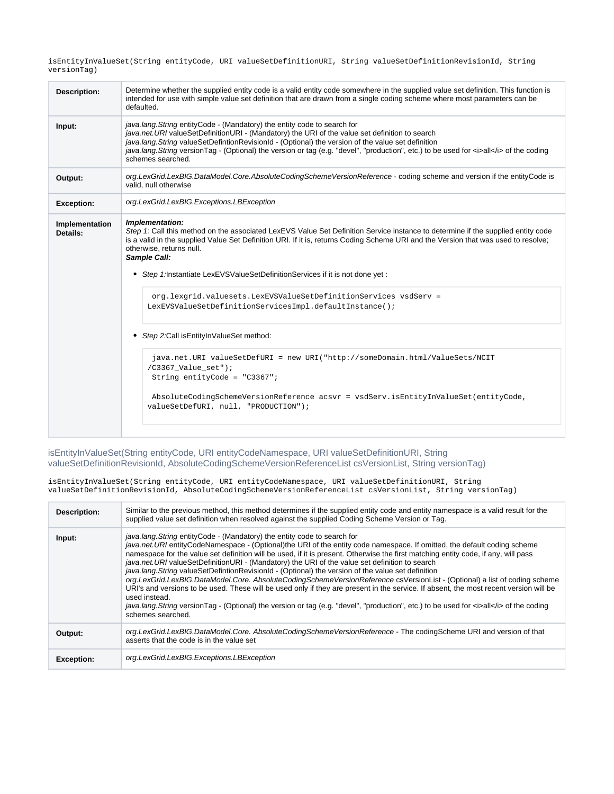isEntityInValueSet(String entityCode, URI valueSetDefinitionURI, String valueSetDefinitionRevisionId, String versionTag)

| <b>Description:</b>        | Determine whether the supplied entity code is a valid entity code somewhere in the supplied value set definition. This function is<br>intended for use with simple value set definition that are drawn from a single coding scheme where most parameters can be<br>defaulted.                                                                                                                                                                                                              |
|----------------------------|--------------------------------------------------------------------------------------------------------------------------------------------------------------------------------------------------------------------------------------------------------------------------------------------------------------------------------------------------------------------------------------------------------------------------------------------------------------------------------------------|
| Input:                     | java.lang. String entity Code - (Mandatory) the entity code to search for<br>java.net.URI valueSetDefinitionURI - (Mandatory) the URI of the value set definition to search<br>java.lang. String valueSetDefintionRevisionId - (Optional) the version of the value set definition<br>java.lang.String versionTag - (Optional) the version or tag (e.g. "devel", "production", etc.) to be used for <i>all</i> of the coding<br>schemes searched.                                           |
| Output:                    | org.LexGrid.LexBIG.DataModel.Core.AbsoluteCodingSchemeVersionReference - coding scheme and version if the entityCode is<br>valid, null otherwise                                                                                                                                                                                                                                                                                                                                           |
| <b>Exception:</b>          | org.LexGrid.LexBIG.Exceptions.LBException                                                                                                                                                                                                                                                                                                                                                                                                                                                  |
| Implementation<br>Details: | Implementation:<br>Step 1: Call this method on the associated LexEVS Value Set Definition Service instance to determine if the supplied entity code<br>is a valid in the supplied Value Set Definition URI. If it is, returns Coding Scheme URI and the Version that was used to resolve;<br>otherwise, returns null.<br>Sample Call:<br>• Step 1:Instantiate LexEVSValueSetDefinitionServices if it is not done yet :<br>org.lexgrid.valuesets.LexEVSValueSetDefinitionServices vsdServ = |
|                            | LexEVSValueSetDefinitionServicesImpl.defaultInstance();<br>Step 2:Call isEntityInValueSet method:<br>٠<br>java.net.URI valueSetDefURI = new URI("http://someDomain.html/ValueSets/NCIT<br>/C3367_Value_set");<br>String entityCode = $"C3367"$ ;<br>AbsoluteCodingSchemeVersionReference acsvr = vsdServ.isEntityInValueSet(entityCode,<br>valueSetDefURI, null, "PRODUCTION");                                                                                                            |

<span id="page-6-0"></span>isEntityInValueSet(String entityCode, URI entityCodeNamespace, URI valueSetDefinitionURI, String valueSetDefinitionRevisionId, AbsoluteCodingSchemeVersionReferenceList csVersionList, String versionTag)

isEntityInValueSet(String entityCode, URI entityCodeNamespace, URI valueSetDefinitionURI, String valueSetDefinitionRevisionId, AbsoluteCodingSchemeVersionReferenceList csVersionList, String versionTag)

| Description:      | Similar to the previous method, this method determines if the supplied entity code and entity namespace is a valid result for the<br>supplied value set definition when resolved against the supplied Coding Scheme Version or Tag.                                                                                                                                                                                                                                                                                                                                                                                                                                                                                                                                                                                                                                                                                                                                                                       |
|-------------------|-----------------------------------------------------------------------------------------------------------------------------------------------------------------------------------------------------------------------------------------------------------------------------------------------------------------------------------------------------------------------------------------------------------------------------------------------------------------------------------------------------------------------------------------------------------------------------------------------------------------------------------------------------------------------------------------------------------------------------------------------------------------------------------------------------------------------------------------------------------------------------------------------------------------------------------------------------------------------------------------------------------|
| Input:            | java.lang. String entity Code - (Mandatory) the entity code to search for<br>java.net.URI entityCodeNamespace - (Optional)the URI of the entity code namespace. If omitted, the default coding scheme<br>namespace for the value set definition will be used, if it is present. Otherwise the first matching entity code, if any, will pass<br>java.net.URI valueSetDefinitionURI - (Mandatory) the URI of the value set definition to search<br>java.lang.String valueSetDefintionRevisionId - (Optional) the version of the value set definition<br>org.LexGrid.LexBIG.DataModel.Core. AbsoluteCodingSchemeVersionReference csVersionList - (Optional) a list of coding scheme<br>URI's and versions to be used. These will be used only if they are present in the service. If absent, the most recent version will be<br>used instead.<br>java.lang.String versionTag - (Optional) the version or tag (e.g. "devel", "production", etc.) to be used for <i>all</i> of the coding<br>schemes searched. |
| Output:           | org.LexGrid.LexBIG.DataModel.Core. AbsoluteCodingSchemeVersionReference - The codingScheme URI and version of that<br>asserts that the code is in the value set                                                                                                                                                                                                                                                                                                                                                                                                                                                                                                                                                                                                                                                                                                                                                                                                                                           |
| <b>Exception:</b> | org.LexGrid.LexBIG.Exceptions.LBException                                                                                                                                                                                                                                                                                                                                                                                                                                                                                                                                                                                                                                                                                                                                                                                                                                                                                                                                                                 |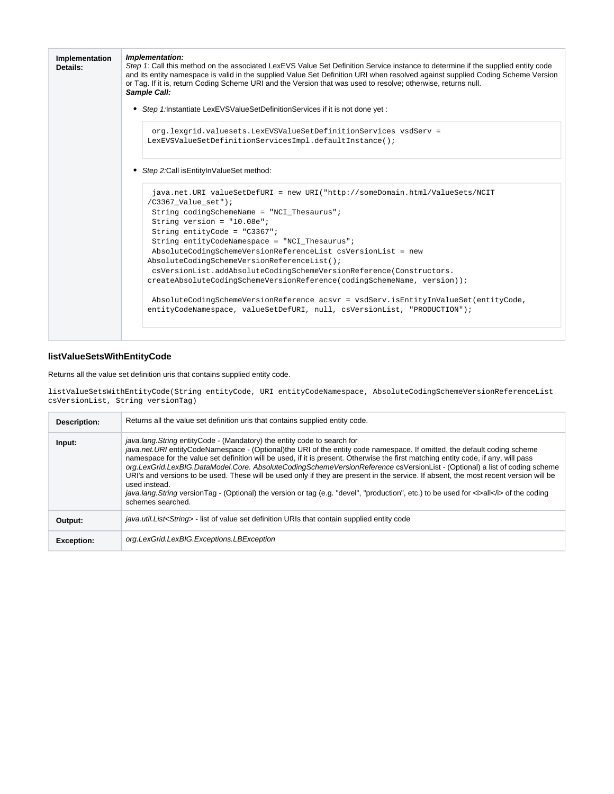| Implementation:<br>Step 1: Call this method on the associated LexEVS Value Set Definition Service instance to determine if the supplied entity code<br>and its entity namespace is valid in the supplied Value Set Definition URI when resolved against supplied Coding Scheme Version<br>or Tag. If it is, return Coding Scheme URI and the Version that was used to resolve; otherwise, returns null.<br>Sample Call:                                                                                                                                                                                                                                                                                      |
|--------------------------------------------------------------------------------------------------------------------------------------------------------------------------------------------------------------------------------------------------------------------------------------------------------------------------------------------------------------------------------------------------------------------------------------------------------------------------------------------------------------------------------------------------------------------------------------------------------------------------------------------------------------------------------------------------------------|
| • Step 1:Instantiate LexEVSValueSetDefinitionServices if it is not done yet :                                                                                                                                                                                                                                                                                                                                                                                                                                                                                                                                                                                                                                |
| org.lexgrid.valuesets.LexEVSValueSetDefinitionServices vsdServ =<br>LexEVSValueSetDefinitionServicesImpl.defaultInstance();                                                                                                                                                                                                                                                                                                                                                                                                                                                                                                                                                                                  |
| • Step 2: Call is Entity In Value Set method:                                                                                                                                                                                                                                                                                                                                                                                                                                                                                                                                                                                                                                                                |
| java.net.URI valueSetDefURI = new URI("http://someDomain.html/ValueSets/NCIT<br>$/C3367$ Value set");<br>String codingSchemeName = "NCI_Thesaurus";<br>String version = $"10.08e"$ ;<br>String entityCode = $"C3367"$ ;<br>String entityCodeNamespace = "NCI Thesaurus";<br>AbsoluteCodingSchemeVersionReferenceList csVersionList = new<br>AbsoluteCodingSchemeVersionReferenceList();<br>csVersionList.addAbsoluteCodingSchemeVersionReference(Constructors.<br>createAbsoluteCodingSchemeVersionReference(codingSchemeName, version));<br>AbsoluteCodingSchemeVersionReference acsvr = vsdServ.isEntityInValueSet(entityCode,<br>entityCodeNamespace, valueSetDefURI, null, csVersionList, "PRODUCTION"); |
|                                                                                                                                                                                                                                                                                                                                                                                                                                                                                                                                                                                                                                                                                                              |

### <span id="page-7-0"></span>**listValueSetsWithEntityCode**

Returns all the value set definition uris that contains supplied entity code.

listValueSetsWithEntityCode(String entityCode, URI entityCodeNamespace, AbsoluteCodingSchemeVersionReferenceList csVersionList, String versionTag)

| Description:      | Returns all the value set definition uris that contains supplied entity code.                                                                                                                                                                                                                                                                                                                                                                                                                                                                                                                                                                                                                                                                                                                                 |
|-------------------|---------------------------------------------------------------------------------------------------------------------------------------------------------------------------------------------------------------------------------------------------------------------------------------------------------------------------------------------------------------------------------------------------------------------------------------------------------------------------------------------------------------------------------------------------------------------------------------------------------------------------------------------------------------------------------------------------------------------------------------------------------------------------------------------------------------|
| Input:            | <i>java.lang. String</i> entity Code - (Mandatory) the entity code to search for<br>java.net.URI entityCodeNamespace - (Optional)the URI of the entity code namespace. If omitted, the default coding scheme<br>namespace for the value set definition will be used, if it is present. Otherwise the first matching entity code, if any, will pass<br>org.LexGrid.LexBIG.DataModel.Core. AbsoluteCodingSchemeVersionReference csVersionList - (Optional) a list of coding scheme<br>URI's and versions to be used. These will be used only if they are present in the service. If absent, the most recent version will be<br>used instead.<br>java.lang. String version Tag - (Optional) the version or tag (e.g. "devel", "production", etc.) to be used for <i>all</i> > of the coding<br>schemes searched. |
| Output:           | java.util.List <string> - list of value set definition URIs that contain supplied entity code</string>                                                                                                                                                                                                                                                                                                                                                                                                                                                                                                                                                                                                                                                                                                        |
| <b>Exception:</b> | org.LexGrid.LexBIG.Exceptions.LBException                                                                                                                                                                                                                                                                                                                                                                                                                                                                                                                                                                                                                                                                                                                                                                     |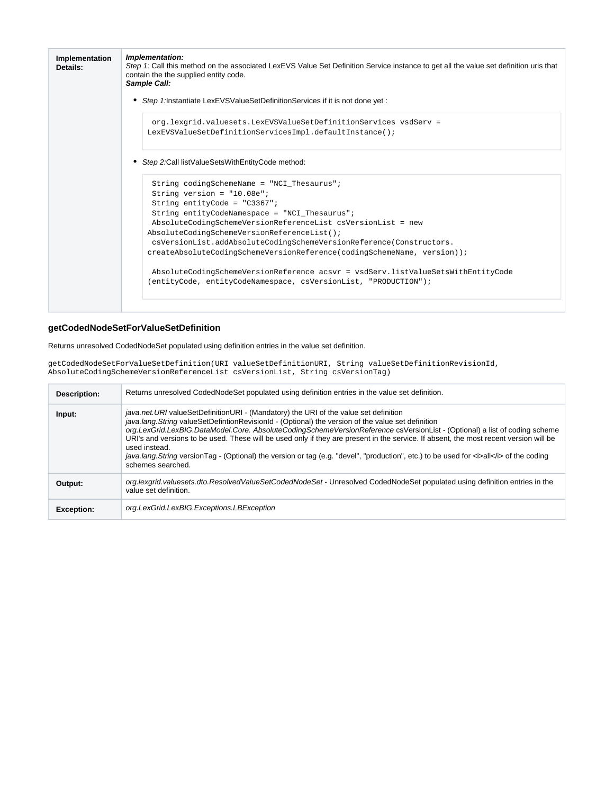| Implementation<br>Details: | Implementation:<br>Step 1: Call this method on the associated LexEVS Value Set Definition Service instance to get all the value set definition uris that<br>contain the the supplied entity code.<br>Sample Call:                                                                                                                                                                                                                |
|----------------------------|----------------------------------------------------------------------------------------------------------------------------------------------------------------------------------------------------------------------------------------------------------------------------------------------------------------------------------------------------------------------------------------------------------------------------------|
|                            | Step 1: Instantiate LexEVSValueSetDefinitionServices if it is not done yet:<br>٠                                                                                                                                                                                                                                                                                                                                                 |
|                            | org.lexgrid.valuesets.LexEVSValueSetDefinitionServices vsdServ =<br>LexEVSValueSetDefinitionServicesImpl.defaultInstance();                                                                                                                                                                                                                                                                                                      |
|                            | Step 2: Call list Value Sets With Entity Code method:                                                                                                                                                                                                                                                                                                                                                                            |
|                            | String codingSchemeName = "NCI Thesaurus";<br>String version = $"10.08e"$ ;<br>String entityCode = $"C3367"$ ;<br>String entityCodeNamespace = "NCI Thesaurus";<br>AbsoluteCodingSchemeVersionReferenceList csVersionList = new<br>AbsoluteCodingSchemeVersionReferenceList();<br>csVersionList.addAbsoluteCodingSchemeVersionReference(Constructors.<br>createAbsoluteCodingSchemeVersionReference(codingSchemeName, version)); |
|                            | AbsoluteCodingSchemeVersionReference acsvr = vsdServ.listValueSetsWithEntityCode<br>(entityCode, entityCodeNamespace, csVersionList, "PRODUCTION");                                                                                                                                                                                                                                                                              |

### <span id="page-8-0"></span>**getCodedNodeSetForValueSetDefinition**

Returns unresolved CodedNodeSet populated using definition entries in the value set definition.

getCodedNodeSetForValueSetDefinition(URI valueSetDefinitionURI, String valueSetDefinitionRevisionId, AbsoluteCodingSchemeVersionReferenceList csVersionList, String csVersionTag)

| Description:      | Returns unresolved CodedNodeSet populated using definition entries in the value set definition.                                                                                                                                                                                                                                                                                                                                                                                                                                                                                                                                                          |
|-------------------|----------------------------------------------------------------------------------------------------------------------------------------------------------------------------------------------------------------------------------------------------------------------------------------------------------------------------------------------------------------------------------------------------------------------------------------------------------------------------------------------------------------------------------------------------------------------------------------------------------------------------------------------------------|
| Input:            | <i>java.net.URI</i> valueSetDefinitionURI - (Mandatory) the URI of the value set definition<br>java.lang. String valueSetDefintionRevisionId - (Optional) the version of the value set definition<br>org.LexGrid.LexBIG.DataModel.Core. AbsoluteCodingSchemeVersionReference csVersionList - (Optional) a list of coding scheme<br>URI's and versions to be used. These will be used only if they are present in the service. If absent, the most recent version will be<br>used instead.<br>java.lang.String versionTag - (Optional) the version or tag (e.g. "devel", "production", etc.) to be used for <i>all</i> of the coding<br>schemes searched. |
| Output:           | org.lexgrid.valuesets.dto.ResolvedValueSetCodedNodeSet - Unresolved CodedNodeSet populated using definition entries in the<br>value set definition.                                                                                                                                                                                                                                                                                                                                                                                                                                                                                                      |
| <b>Exception:</b> | org.LexGrid.LexBIG.Exceptions.LBException                                                                                                                                                                                                                                                                                                                                                                                                                                                                                                                                                                                                                |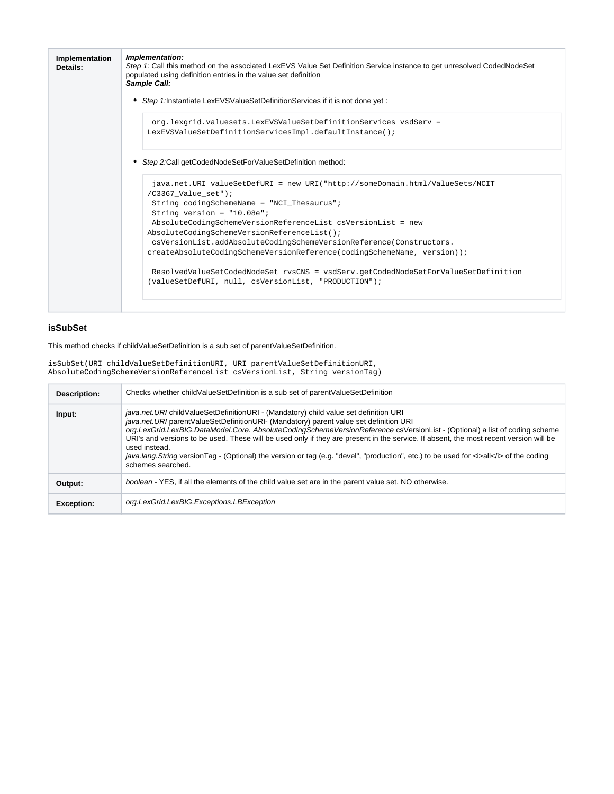| Implementation<br>Details: | Implementation:<br>Step 1: Call this method on the associated LexEVS Value Set Definition Service instance to get unresolved CodedNodeSet<br>populated using definition entries in the value set definition<br>Sample Call: |
|----------------------------|-----------------------------------------------------------------------------------------------------------------------------------------------------------------------------------------------------------------------------|
|                            | Step 1:Instantiate LexEVSValueSetDefinitionServices if it is not done yet :<br>٠                                                                                                                                            |
|                            | org.lexgrid.valuesets.LexEVSValueSetDefinitionServices vsdServ =<br>LexEVSValueSetDefinitionServicesImpl.defaultInstance();                                                                                                 |
|                            | Step 2:Call getCodedNodeSetForValueSetDefinition method:                                                                                                                                                                    |
|                            | java.net.URI valueSetDefURI = new URI("http://someDomain.html/ValueSets/NCIT<br>$/C3367$ Value set");<br>String codingSchemeName = "NCI Thesaurus";                                                                         |
|                            | String version = $"10.08e"$ ;                                                                                                                                                                                               |
|                            | AbsoluteCodingSchemeVersionReferenceList csVersionList = new<br>AbsoluteCodingSchemeVersionReferenceList();                                                                                                                 |
|                            | csVersionList.addAbsoluteCodingSchemeVersionReference(Constructors.                                                                                                                                                         |
|                            | createAbsoluteCodingSchemeVersionReference(codingSchemeName, version));                                                                                                                                                     |
|                            | ResolvedValueSetCodedNodeSet rvsCNS = vsdServ.getCodedNodeSetForValueSetDefinition<br>(valueSetDefURI, null, csVersionList, "PRODUCTION");                                                                                  |

### <span id="page-9-0"></span>**isSubSet**

#### This method checks if childValueSetDefinition is a sub set of parentValueSetDefinition.

isSubSet(URI childValueSetDefinitionURI, URI parentValueSetDefinitionURI, AbsoluteCodingSchemeVersionReferenceList csVersionList, String versionTag)

| Description:      | Checks whether childValueSetDefinition is a sub set of parentValueSetDefinition                                                                                                                                                                                                                                                                                                                                                                                                                                                                                                                                                       |
|-------------------|---------------------------------------------------------------------------------------------------------------------------------------------------------------------------------------------------------------------------------------------------------------------------------------------------------------------------------------------------------------------------------------------------------------------------------------------------------------------------------------------------------------------------------------------------------------------------------------------------------------------------------------|
| Input:            | java.net.URI childValueSetDefinitionURI - (Mandatory) child value set definition URI<br>java.net.URI parentValueSetDefinitionURI- (Mandatory) parent value set definition URI<br>org.LexGrid.LexBIG.DataModel.Core. AbsoluteCodingSchemeVersionReference csVersionList - (Optional) a list of coding scheme<br>URI's and versions to be used. These will be used only if they are present in the service. If absent, the most recent version will be<br>used instead.<br>java.lang. String versionTag - (Optional) the version or tag (e.g. "devel", "production", etc.) to be used for <i>all</i> of the coding<br>schemes searched. |
| Output:           | boolean - YES, if all the elements of the child value set are in the parent value set. NO otherwise.                                                                                                                                                                                                                                                                                                                                                                                                                                                                                                                                  |
| <b>Exception:</b> | org.LexGrid.LexBIG.Exceptions.LBException                                                                                                                                                                                                                                                                                                                                                                                                                                                                                                                                                                                             |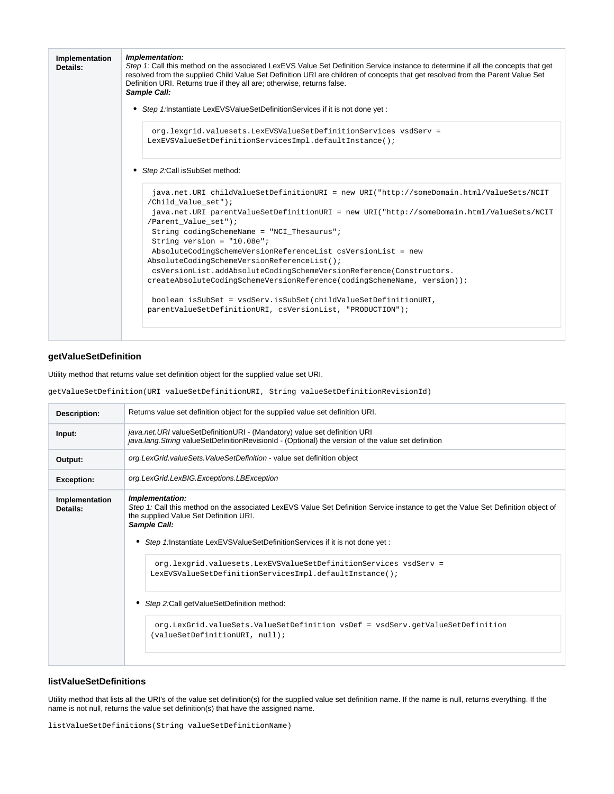| Implementation<br>Details: | Implementation:<br>Step 1: Call this method on the associated LexEVS Value Set Definition Service instance to determine if all the concepts that get<br>resolved from the supplied Child Value Set Definition URI are children of concepts that get resolved from the Parent Value Set<br>Definition URI. Returns true if they all are; otherwise, returns false.<br>Sample Call: |
|----------------------------|-----------------------------------------------------------------------------------------------------------------------------------------------------------------------------------------------------------------------------------------------------------------------------------------------------------------------------------------------------------------------------------|
|                            | • Step 1:Instantiate LexEVSValueSetDefinitionServices if it is not done yet :                                                                                                                                                                                                                                                                                                     |
|                            | org.lexgrid.valuesets.LexEVSValueSetDefinitionServices vsdServ =<br>LexEVSValueSetDefinitionServicesImpl.defaultInstance();                                                                                                                                                                                                                                                       |
|                            | Step 2: Call is SubSet method:<br>٠                                                                                                                                                                                                                                                                                                                                               |
|                            | java.net.URI childValueSetDefinitionURI = new URI("http://someDomain.html/ValueSets/NCIT<br>/Child Value set");<br>java.net.URI parentValueSetDefinitionURI = new URI("http://someDomain.html/ValueSets/NCIT                                                                                                                                                                      |
|                            | /Parent Value set");                                                                                                                                                                                                                                                                                                                                                              |
|                            | String codingSchemeName = "NCI_Thesaurus";                                                                                                                                                                                                                                                                                                                                        |
|                            | String version = $"10.08e"$ ;                                                                                                                                                                                                                                                                                                                                                     |
|                            | AbsoluteCodingSchemeVersionReferenceList csVersionList = new<br>AbsoluteCodingSchemeVersionReferenceList();                                                                                                                                                                                                                                                                       |
|                            | csVersionList.addAbsoluteCodingSchemeVersionReference(Constructors.                                                                                                                                                                                                                                                                                                               |
|                            | createAbsoluteCodingSchemeVersionReference(codingSchemeName, version));                                                                                                                                                                                                                                                                                                           |
|                            | boolean isSubSet = vsdServ.isSubSet(childValueSetDefinitionURI,<br>parentValueSetDefinitionURI, csVersionList, "PRODUCTION");                                                                                                                                                                                                                                                     |
|                            |                                                                                                                                                                                                                                                                                                                                                                                   |

### <span id="page-10-0"></span>**getValueSetDefinition**

Utility method that returns value set definition object for the supplied value set URI.

getValueSetDefinition(URI valueSetDefinitionURI, String valueSetDefinitionRevisionId)

| Description:               | Returns value set definition object for the supplied value set definition URI.                                                                                                                                                                                                                                                                                                                                                                                                                                                                                                                         |
|----------------------------|--------------------------------------------------------------------------------------------------------------------------------------------------------------------------------------------------------------------------------------------------------------------------------------------------------------------------------------------------------------------------------------------------------------------------------------------------------------------------------------------------------------------------------------------------------------------------------------------------------|
| Input:                     | java.net.URI valueSetDefinitionURI - (Mandatory) value set definition URI<br>java.lang.String valueSetDefinitionRevisionId - (Optional) the version of the value set definition                                                                                                                                                                                                                                                                                                                                                                                                                        |
| Output:                    | org.LexGrid.valueSets.ValueSetDefinition - value set definition object                                                                                                                                                                                                                                                                                                                                                                                                                                                                                                                                 |
| <b>Exception:</b>          | org.LexGrid.LexBIG.Exceptions.LBException                                                                                                                                                                                                                                                                                                                                                                                                                                                                                                                                                              |
| Implementation<br>Details: | Implementation:<br>Step 1: Call this method on the associated LexEVS Value Set Definition Service instance to get the Value Set Definition object of<br>the supplied Value Set Definition URI.<br>Sample Call:<br>• Step 1: Instantiate LexEVSValueSetDefinitionServices if it is not done yet :<br>org.lexgrid.valuesets.LexEVSValueSetDefinitionServices vsdServ =<br>LexEVSValueSetDefinitionServicesImpl.defaultInstance();<br>• Step 2: Call get Value Set Definition method:<br>org.LexGrid.valueSets.ValueSetDefinition vsDef = vsdServ.getValueSetDefinition<br>(valueSetDefinitionURI, null); |
|                            |                                                                                                                                                                                                                                                                                                                                                                                                                                                                                                                                                                                                        |

#### <span id="page-10-1"></span>**listValueSetDefinitions**

Utility method that lists all the URI's of the value set definition(s) for the supplied value set definition name. If the name is null, returns everything. If the name is not null, returns the value set definition(s) that have the assigned name.

listValueSetDefinitions(String valueSetDefinitionName)

 $\Omega$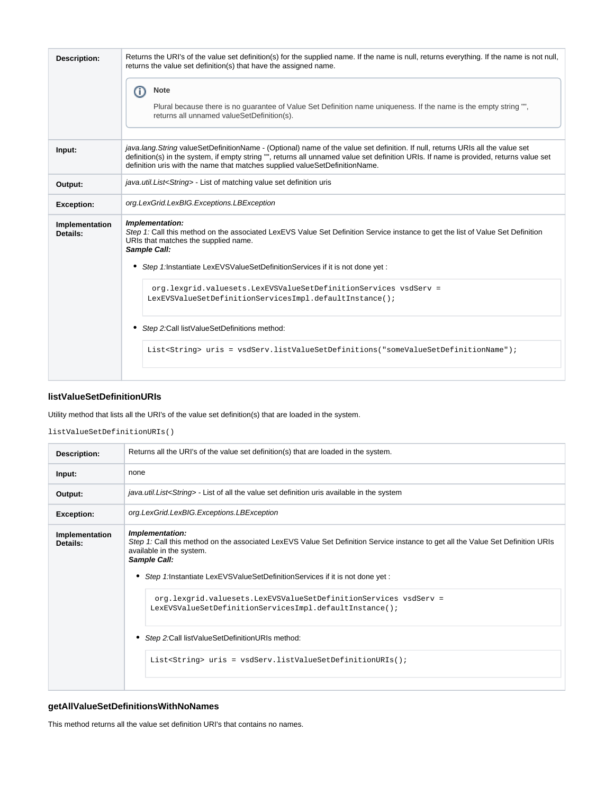| <b>Description:</b>        | Returns the URI's of the value set definition(s) for the supplied name. If the name is null, returns everything. If the name is not null,<br>returns the value set definition(s) that have the assigned name.<br><b>Note</b><br>(i)<br>Plural because there is no guarantee of Value Set Definition name uniqueness. If the name is the empty string "",<br>returns all unnamed valueSetDefinition(s). |
|----------------------------|--------------------------------------------------------------------------------------------------------------------------------------------------------------------------------------------------------------------------------------------------------------------------------------------------------------------------------------------------------------------------------------------------------|
| Input:                     | java.lang. String valueSetDefinitionName - (Optional) name of the value set definition. If null, returns URIs all the value set<br>definition(s) in the system, if empty string "", returns all unnamed value set definition URIs. If name is provided, returns value set<br>definition uris with the name that matches supplied valueSetDefinitionName.                                               |
| Output:                    | java.util.List <string> - List of matching value set definition uris</string>                                                                                                                                                                                                                                                                                                                          |
| <b>Exception:</b>          | org.LexGrid.LexBIG.Exceptions.LBException                                                                                                                                                                                                                                                                                                                                                              |
| Implementation<br>Details: | Implementation:<br>Step 1: Call this method on the associated LexEVS Value Set Definition Service instance to get the list of Value Set Definition<br>URIs that matches the supplied name.<br>Sample Call:<br>Step 1:Instantiate LexEVSValueSetDefinitionServices if it is not done yet :<br>٠                                                                                                         |
|                            | org.lexgrid.valuesets.LexEVSValueSetDefinitionServices vsdServ =<br>LexEVSValueSetDefinitionServicesImpl.defaultInstance();<br>Step 2: Call list Value Set Definitions method:<br>٠<br>List <string> uris = vsdServ.listValueSetDefinitions("someValueSetDefinitionName");</string>                                                                                                                    |

### <span id="page-11-0"></span>**listValueSetDefinitionURIs**

Utility method that lists all the URI's of the value set definition(s) that are loaded in the system.

listValueSetDefinitionURIs()

| <b>Description:</b>        | Returns all the URI's of the value set definition(s) that are loaded in the system.                                                                                                             |
|----------------------------|-------------------------------------------------------------------------------------------------------------------------------------------------------------------------------------------------|
| Input:                     | none                                                                                                                                                                                            |
| Output:                    | java.util.List <string> - List of all the value set definition uris available in the system</string>                                                                                            |
| <b>Exception:</b>          | org.LexGrid.LexBIG.Exceptions.LBException                                                                                                                                                       |
| Implementation<br>Details: | Implementation:<br>Step 1: Call this method on the associated LexEVS Value Set Definition Service instance to get all the Value Set Definition URIs<br>available in the system.<br>Sample Call: |
|                            | • Step 1: Instantiate LexEVSValueSetDefinitionServices if it is not done yet :                                                                                                                  |
|                            | org.lexgrid.valuesets.LexEVSValueSetDefinitionServices vsdServ =<br>LexEVSValueSetDefinitionServicesImpl.defaultInstance();                                                                     |
|                            | • Step 2: Call list Value Set Definition URIs method:                                                                                                                                           |
|                            | List <string> uris = vsdServ.listValueSetDefinitionURIs();</string>                                                                                                                             |
|                            |                                                                                                                                                                                                 |

### <span id="page-11-1"></span>**getAllValueSetDefinitionsWithNoNames**

This method returns all the value set definition URI's that contains no names.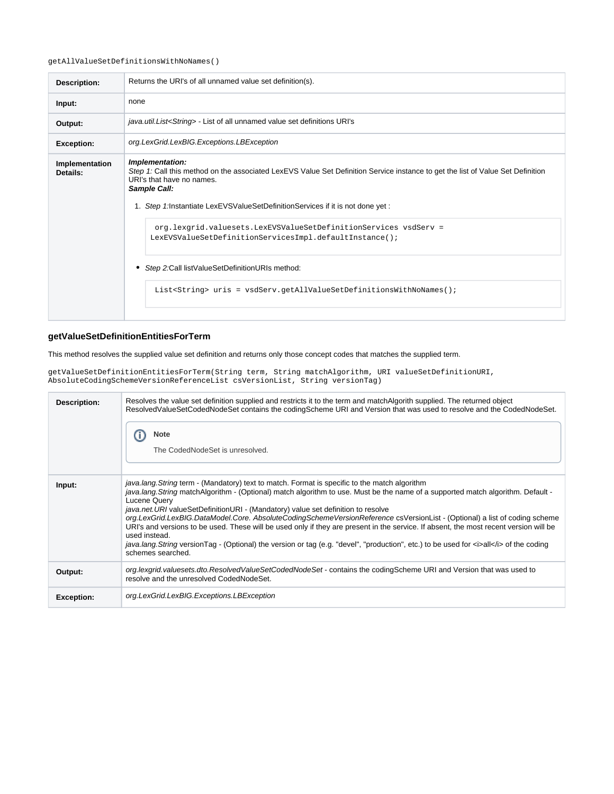#### getAllValueSetDefinitionsWithNoNames()

| Description:               | Returns the URI's of all unnamed value set definition(s).                                                                                                                                                                                                                          |
|----------------------------|------------------------------------------------------------------------------------------------------------------------------------------------------------------------------------------------------------------------------------------------------------------------------------|
| Input:                     | none                                                                                                                                                                                                                                                                               |
| Output:                    | java.util.List <string> - List of all unnamed value set definitions URI's</string>                                                                                                                                                                                                 |
| <b>Exception:</b>          | org.LexGrid.LexBIG.Exceptions.LBException                                                                                                                                                                                                                                          |
| Implementation<br>Details: | Implementation:<br>Step 1: Call this method on the associated LexEVS Value Set Definition Service instance to get the list of Value Set Definition<br>URI's that have no names.<br>Sample Call:<br>1. Step 1: Instantiate LexEVSValueSetDefinitionServices if it is not done yet : |
|                            | org.lexgrid.valuesets.LexEVSValueSetDefinitionServices vsdServ =<br>LexEVSValueSetDefinitionServicesImpl.defaultInstance();<br>• Step 2: Call list Value Set Definition URIs method:                                                                                               |
|                            | List <string> uris = vsdServ.getAllValueSetDefinitionsWithNoNames();</string>                                                                                                                                                                                                      |

### <span id="page-12-0"></span>**getValueSetDefinitionEntitiesForTerm**

This method resolves the supplied value set definition and returns only those concept codes that matches the supplied term.

getValueSetDefinitionEntitiesForTerm(String term, String matchAlgorithm, URI valueSetDefinitionURI, AbsoluteCodingSchemeVersionReferenceList csVersionList, String versionTag)

| Description:      | Resolves the value set definition supplied and restricts it to the term and matchAlgorith supplied. The returned object<br>ResolvedValueSetCodedNodeSet contains the codingScheme URI and Version that was used to resolve and the CodedNodeSet.<br>Note<br>The CodedNodeSet is unresolved.                                                                                                                                                                                                                                                                                                                                                                                                                                                                                                               |
|-------------------|-----------------------------------------------------------------------------------------------------------------------------------------------------------------------------------------------------------------------------------------------------------------------------------------------------------------------------------------------------------------------------------------------------------------------------------------------------------------------------------------------------------------------------------------------------------------------------------------------------------------------------------------------------------------------------------------------------------------------------------------------------------------------------------------------------------|
| Input:            | <i>java.lang.String</i> term - (Mandatory) text to match. Format is specific to the match algorithm<br>java.lang. String matchAlgorithm - (Optional) match algorithm to use. Must be the name of a supported match algorithm. Default -<br>Lucene Query<br><i>java.net.URI</i> valueSetDefinitionURI - (Mandatory) value set definition to resolve<br>org.LexGrid.LexBIG.DataModel.Core. AbsoluteCodingSchemeVersionReference csVersionList - (Optional) a list of coding scheme<br>URI's and versions to be used. These will be used only if they are present in the service. If absent, the most recent version will be<br>used instead.<br>java.lang.String versionTag - (Optional) the version or tag (e.g. "devel", "production", etc.) to be used for <i>all</i> of the coding<br>schemes searched. |
| Output:           | org.lexgrid.valuesets.dto.ResolvedValueSetCodedNodeSet - contains the codingScheme URI and Version that was used to<br>resolve and the unresolved CodedNodeSet.                                                                                                                                                                                                                                                                                                                                                                                                                                                                                                                                                                                                                                           |
| <b>Exception:</b> | org.LexGrid.LexBIG.Exceptions.LBException                                                                                                                                                                                                                                                                                                                                                                                                                                                                                                                                                                                                                                                                                                                                                                 |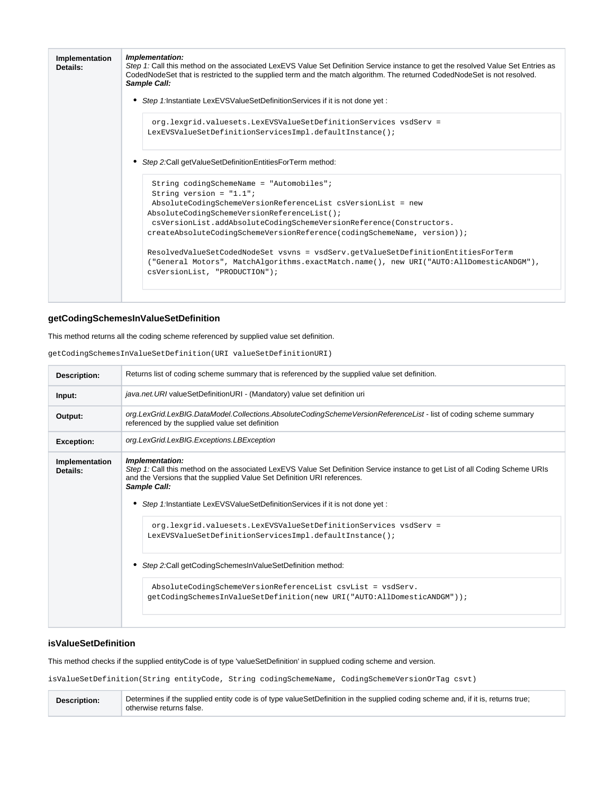| Implementation<br>Details: | Implementation:<br>Step 1: Call this method on the associated LexEVS Value Set Definition Service instance to get the resolved Value Set Entries as<br>CodedNodeSet that is restricted to the supplied term and the match algorithm. The returned CodedNodeSet is not resolved.<br>Sample Call: |
|----------------------------|-------------------------------------------------------------------------------------------------------------------------------------------------------------------------------------------------------------------------------------------------------------------------------------------------|
|                            | Step 1: Instantiate LexEVSValueSetDefinitionServices if it is not done yet:                                                                                                                                                                                                                     |
|                            | org.lexgrid.valuesets.LexEVSValueSetDefinitionServices vsdServ =<br>LexEVSValueSetDefinitionServicesImpl.defaultInstance();                                                                                                                                                                     |
|                            | Step 2:Call getValueSetDefinitionEntitiesForTerm method:                                                                                                                                                                                                                                        |
|                            | String codingSchemeName = "Automobiles";<br>String version = $"1.1"$ ;                                                                                                                                                                                                                          |
|                            | AbsoluteCodingSchemeVersionReferenceList csVersionList = new                                                                                                                                                                                                                                    |
|                            | AbsoluteCodingSchemeVersionReferenceList();<br>csVersionList.addAbsoluteCodingSchemeVersionReference(Constructors.                                                                                                                                                                              |
|                            | createAbsoluteCodingSchemeVersionReference(codingSchemeName, version));                                                                                                                                                                                                                         |
|                            |                                                                                                                                                                                                                                                                                                 |
|                            | ResolvedValueSetCodedNodeSet vsvns = vsdServ.getValueSetDefinitionEntitiesForTerm                                                                                                                                                                                                               |
|                            | ("General Motors", MatchAlgorithms.exactMatch.name(), new URI("AUTO:AllDomesticANDGM"),<br>csVersionList, "PRODUCTION");                                                                                                                                                                        |
|                            |                                                                                                                                                                                                                                                                                                 |
|                            |                                                                                                                                                                                                                                                                                                 |

### <span id="page-13-0"></span>**getCodingSchemesInValueSetDefinition**

This method returns all the coding scheme referenced by supplied value set definition.

getCodingSchemesInValueSetDefinition(URI valueSetDefinitionURI)

| <b>Description:</b>        | Returns list of coding scheme summary that is referenced by the supplied value set definition.                                                                                                                                                                                                                             |
|----------------------------|----------------------------------------------------------------------------------------------------------------------------------------------------------------------------------------------------------------------------------------------------------------------------------------------------------------------------|
| Input:                     | java.net. URI valueSetDefinitionURI - (Mandatory) value set definition uri                                                                                                                                                                                                                                                 |
| Output:                    | org.LexGrid.LexBIG.DataModel.Collections.AbsoluteCodingSchemeVersionReferenceList - list of coding scheme summary<br>referenced by the supplied value set definition                                                                                                                                                       |
| <b>Exception:</b>          | org.LexGrid.LexBIG.Exceptions.LBException                                                                                                                                                                                                                                                                                  |
| Implementation<br>Details: | Implementation:<br>Step 1: Call this method on the associated LexEVS Value Set Definition Service instance to get List of all Coding Scheme URIs<br>and the Versions that the supplied Value Set Definition URI references.<br>Sample Call:<br>Step 1: Instantiate LexEVSValueSetDefinitionServices if it is not done yet: |
|                            | org.lexgrid.valuesets.LexEVSValueSetDefinitionServices vsdServ =<br>LexEVSValueSetDefinitionServicesImpl.defaultInstance();                                                                                                                                                                                                |
|                            | Step 2:Call getCodingSchemesInValueSetDefinition method:                                                                                                                                                                                                                                                                   |
|                            | AbsoluteCodingSchemeVersionReferenceList csvList = vsdServ.<br>getCodingSchemesInValueSetDefinition(new URI("AUTO:AllDomesticANDGM"));                                                                                                                                                                                     |
|                            |                                                                                                                                                                                                                                                                                                                            |

#### <span id="page-13-1"></span>**isValueSetDefinition**

This method checks if the supplied entityCode is of type 'valueSetDefinition' in supplued coding scheme and version.

isValueSetDefinition(String entityCode, String codingSchemeName, CodingSchemeVersionOrTag csvt)

Description: Determines if the supplied entity code is of type valueSetDefinition in the supplied coding scheme and, if it is, returns true; otherwise returns false.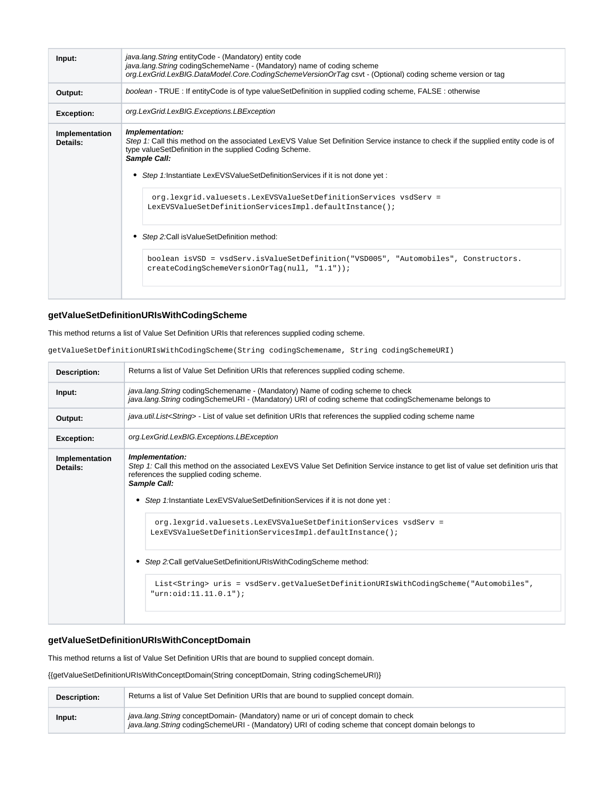| Input:                     | java.lang. String entity Code - (Mandatory) entity code<br>java.lang. String coding Scheme Name - (Mandatory) name of coding scheme<br>org.LexGrid.LexBIG.DataModel.Core.CodingSchemeVersionOrTag csvt - (Optional) coding scheme version or tag                                                                                                                                                                                                                                                                                                                                                                                                |
|----------------------------|-------------------------------------------------------------------------------------------------------------------------------------------------------------------------------------------------------------------------------------------------------------------------------------------------------------------------------------------------------------------------------------------------------------------------------------------------------------------------------------------------------------------------------------------------------------------------------------------------------------------------------------------------|
| Output:                    | boolean - TRUE : If entityCode is of type valueSetDefinition in supplied coding scheme, FALSE : otherwise                                                                                                                                                                                                                                                                                                                                                                                                                                                                                                                                       |
| <b>Exception:</b>          | org.LexGrid.LexBIG.Exceptions.LBException                                                                                                                                                                                                                                                                                                                                                                                                                                                                                                                                                                                                       |
| Implementation<br>Details: | Implementation:<br>Step 1: Call this method on the associated LexEVS Value Set Definition Service instance to check if the supplied entity code is of<br>type valueSetDefinition in the supplied Coding Scheme.<br>Sample Call:<br>Step 1:Instantiate LexEVSValueSetDefinitionServices if it is not done yet :<br>٠<br>org.lexgrid.valuesets.LexEVSValueSetDefinitionServices vsdServ =<br>LexEVSValueSetDefinitionServicesImpl.defaultInstance();<br>Step 2: Call is Value Set Definition method:<br>٠<br>boolean isVSD = vsdServ.isValueSetDefinition("VSD005", "Automobiles", Constructors.<br>createCodingSchemeVersionOrTag(null, "1.1")); |

### <span id="page-14-0"></span>**getValueSetDefinitionURIsWithCodingScheme**

### This method returns a list of Value Set Definition URIs that references supplied coding scheme.

| getValueSetDefinitionURIsWithCodingScheme(String codingSchemename, String codingSchemeURI) |  |  |
|--------------------------------------------------------------------------------------------|--|--|
|--------------------------------------------------------------------------------------------|--|--|

| Description:               | Returns a list of Value Set Definition URIs that references supplied coding scheme.                                                                                                                                                                                                                                                                                                                                                                                                                                                                                                                                                                     |
|----------------------------|---------------------------------------------------------------------------------------------------------------------------------------------------------------------------------------------------------------------------------------------------------------------------------------------------------------------------------------------------------------------------------------------------------------------------------------------------------------------------------------------------------------------------------------------------------------------------------------------------------------------------------------------------------|
| Input:                     | java.lang.String codingSchemename - (Mandatory) Name of coding scheme to check<br>java.lang.String codingSchemeURI - (Mandatory) URI of coding scheme that codingSchemename belongs to                                                                                                                                                                                                                                                                                                                                                                                                                                                                  |
| Output:                    | java.util.List <string> - List of value set definition URIs that references the supplied coding scheme name</string>                                                                                                                                                                                                                                                                                                                                                                                                                                                                                                                                    |
| <b>Exception:</b>          | org.LexGrid.LexBIG.Exceptions.LBException                                                                                                                                                                                                                                                                                                                                                                                                                                                                                                                                                                                                               |
| Implementation<br>Details: | Implementation:<br>Step 1: Call this method on the associated LexEVS Value Set Definition Service instance to get list of value set definition uris that<br>references the supplied coding scheme.<br>Sample Call:<br>• Step 1: Instantiate LexEVSValueSetDefinitionServices if it is not done yet :<br>org.lexgrid.valuesets.LexEVSValueSetDefinitionServices vsdServ =<br>LexEVSValueSetDefinitionServicesImpl.defaultInstance();<br>• Step 2: Call get Value Set Definition URIs With Coding Scheme method:<br>List <string> uris = vsdServ.getValueSetDefinitionURIsWithCodingScheme("Automobiles",<br/>"urn:<math>oid:11.11.0.1"</math>);</string> |
|                            |                                                                                                                                                                                                                                                                                                                                                                                                                                                                                                                                                                                                                                                         |

### <span id="page-14-1"></span>**getValueSetDefinitionURIsWithConceptDomain**

This method returns a list of Value Set Definition URIs that are bound to supplied concept domain.

{{getValueSetDefinitionURIsWithConceptDomain(String conceptDomain, String codingSchemeURI)}

| <b>Description:</b> | Returns a list of Value Set Definition URIs that are bound to supplied concept domain.                                                                                                       |
|---------------------|----------------------------------------------------------------------------------------------------------------------------------------------------------------------------------------------|
| Input:              | java.lang. String conceptDomain- (Mandatory) name or uri of concept domain to check<br>java.lang. String coding Scheme URI - (Mandatory) URI of coding scheme that concept domain belongs to |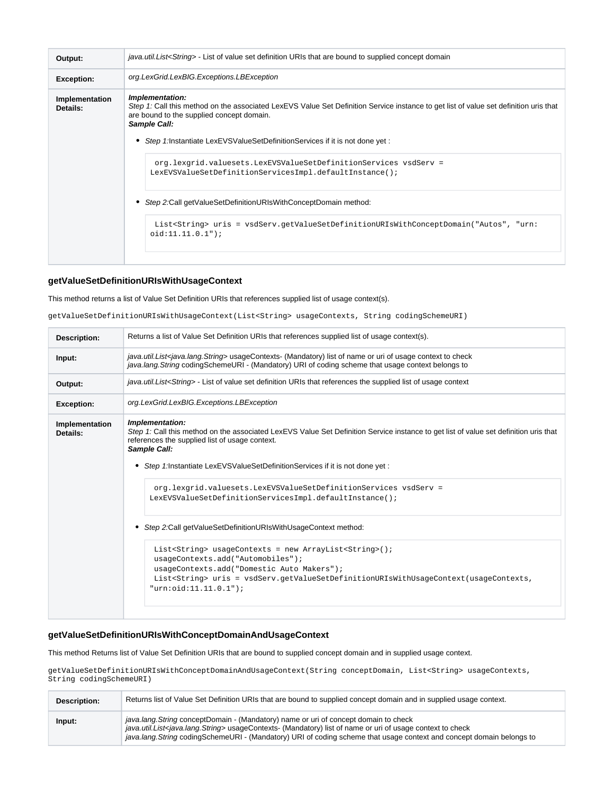| Output:                    | java.util.List <string> - List of value set definition URIs that are bound to supplied concept domain</string>                                                                                                                                                                                         |
|----------------------------|--------------------------------------------------------------------------------------------------------------------------------------------------------------------------------------------------------------------------------------------------------------------------------------------------------|
| <b>Exception:</b>          | org.LexGrid.LexBIG.Exceptions.LBException                                                                                                                                                                                                                                                              |
| Implementation<br>Details: | Implementation:<br>Step 1: Call this method on the associated LexEVS Value Set Definition Service instance to get list of value set definition uris that<br>are bound to the supplied concept domain.<br>Sample Call:<br>• Step 1:Instantiate LexEVSValueSetDefinitionServices if it is not done yet : |
|                            | org.lexgrid.valuesets.LexEVSValueSetDefinitionServices vsdServ =<br>LexEVSValueSetDefinitionServicesImpl.defaultInstance();<br>• Step 2:Call getValueSetDefinitionURIsWithConceptDomain method:                                                                                                        |
|                            | List <string> uris = vsdServ.getValueSetDefinitionURIsWithConceptDomain("Autos", "urn:<br/><math>oid:11.11.0.1")</math>;</string>                                                                                                                                                                      |

### <span id="page-15-0"></span>**getValueSetDefinitionURIsWithUsageContext**

This method returns a list of Value Set Definition URIs that references supplied list of usage context(s).

getValueSetDefinitionURIsWithUsageContext(List<String> usageContexts, String codingSchemeURI)

| java.util.List <java.lang.string> usageContexts- (Mandatory) list of name or uri of usage context to check<br/>Input:<br/>java.lang.String codingSchemeURI - (Mandatory) URI of coding scheme that usage context belongs to<br/>java.util.List<string> - List of value set definition URIs that references the supplied list of usage context<br/>Output:<br/>org.LexGrid.LexBIG.Exceptions.LBException<br/><b>Exception:</b><br/>Implementation:<br/>Implementation<br/>Step 1: Call this method on the associated LexEVS Value Set Definition Service instance to get list of value set definition uris that<br/>Details:<br/>references the supplied list of usage context.<br/>Sample Call:</string></java.lang.string> | Returns a list of Value Set Definition URIs that references supplied list of usage context(s). |  |
|-----------------------------------------------------------------------------------------------------------------------------------------------------------------------------------------------------------------------------------------------------------------------------------------------------------------------------------------------------------------------------------------------------------------------------------------------------------------------------------------------------------------------------------------------------------------------------------------------------------------------------------------------------------------------------------------------------------------------------|------------------------------------------------------------------------------------------------|--|
|                                                                                                                                                                                                                                                                                                                                                                                                                                                                                                                                                                                                                                                                                                                             |                                                                                                |  |
|                                                                                                                                                                                                                                                                                                                                                                                                                                                                                                                                                                                                                                                                                                                             |                                                                                                |  |
|                                                                                                                                                                                                                                                                                                                                                                                                                                                                                                                                                                                                                                                                                                                             |                                                                                                |  |
| • Step 1: Instantiate LexEVSValueSetDefinitionServices if it is not done yet:<br>org.lexgrid.valuesets.LexEVSValueSetDefinitionServices vsdServ =<br>LexEVSValueSetDefinitionServicesImpl.defaultInstance();<br>• Step 2:Call getValueSetDefinitionURIsWithUsageContext method:<br>List <string> usageContexts = new ArrayList<string>();<br/>usageContexts.add("Automobiles");<br/>usageContexts.add("Domestic Auto Makers");<br/>List<string> uris = vsdServ.getValueSetDefinitionURIsWithUsageContext(usageContexts,<br/>"urn:<math>oid:11.11.0.1"</math></string></string></string>                                                                                                                                     |                                                                                                |  |

### <span id="page-15-1"></span>**getValueSetDefinitionURIsWithConceptDomainAndUsageContext**

This method Returns list of Value Set Definition URIs that are bound to supplied concept domain and in supplied usage context.

getValueSetDefinitionURIsWithConceptDomainAndUsageContext(String conceptDomain, List<String> usageContexts, String codingSchemeURI)

| Description: | Returns list of Value Set Definition URIs that are bound to supplied concept domain and in supplied usage context.                                                                                                                                                                                                                             |
|--------------|------------------------------------------------------------------------------------------------------------------------------------------------------------------------------------------------------------------------------------------------------------------------------------------------------------------------------------------------|
| Input:       | java.lang. String conceptDomain - (Mandatory) name or uri of concept domain to check<br>java.util.List <java.lang.string> usageContexts- (Mandatory) list of name or uri of usage context to check<br/>java.lang.String codingSchemeURI - (Mandatory) URI of coding scheme that usage context and concept domain belongs to</java.lang.string> |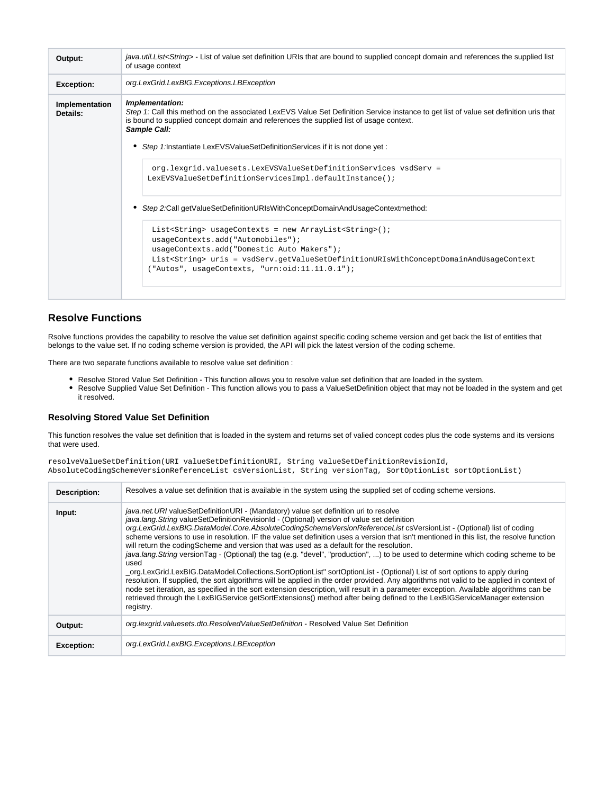| Output:                    | java.util.List <string> - List of value set definition URIs that are bound to supplied concept domain and references the supplied list<br/>of usage context</string>                                                                                                                                                                                                                                     |
|----------------------------|----------------------------------------------------------------------------------------------------------------------------------------------------------------------------------------------------------------------------------------------------------------------------------------------------------------------------------------------------------------------------------------------------------|
| <b>Exception:</b>          | org.LexGrid.LexBIG.Exceptions.LBException                                                                                                                                                                                                                                                                                                                                                                |
| Implementation<br>Details: | Implementation:<br>Step 1: Call this method on the associated LexEVS Value Set Definition Service instance to get list of value set definition uris that<br>is bound to supplied concept domain and references the supplied list of usage context.<br>Sample Call:<br>Step 1:Instantiate LexEVSValueSetDefinitionServices if it is not done yet :                                                        |
|                            | org.lexgrid.valuesets.LexEVSValueSetDefinitionServices vsdServ =<br>LexEVSValueSetDefinitionServicesImpl.defaultInstance();                                                                                                                                                                                                                                                                              |
|                            | Step 2:Call getValueSetDefinitionURIsWithConceptDomainAndUsageContextmethod:<br>٠<br>List <string> usageContexts = new ArrayList<string>();<br/>usageContexts.add("Automobiles");<br/>usageContexts.add("Domestic Auto Makers");<br/>List<string> uris = vsdServ.getValueSetDefinitionURIsWithConceptDomainAndUsageContext<br/>("Autos", usageContexts, "urn:oid:11.11.0.1");</string></string></string> |

### <span id="page-16-0"></span>**Resolve Functions**

Rsolve functions provides the capability to resolve the value set definition against specific coding scheme version and get back the list of entities that belongs to the value set. If no coding scheme version is provided, the API will pick the latest version of the coding scheme.

There are two separate functions available to resolve value set definition :

- Resolve Stored Value Set Definition This function allows you to resolve value set definition that are loaded in the system.
- Resolve Supplied Value Set Definition This function allows you to pass a ValueSetDefinition object that may not be loaded in the system and get it resolved.

#### <span id="page-16-1"></span>**Resolving Stored Value Set Definition**

This function resolves the value set definition that is loaded in the system and returns set of valied concept codes plus the code systems and its versions that were used.

resolveValueSetDefinition(URI valueSetDefinitionURI, String valueSetDefinitionRevisionId, AbsoluteCodingSchemeVersionReferenceList csVersionList, String versionTag, SortOptionList sortOptionList)

| Description:      | Resolves a value set definition that is available in the system using the supplied set of coding scheme versions.                                                                                                                                                                                                                                                                                                                                                                                                                                                                                                                                                                                                                                                                                                                                                                                                                                                                                                                                                                                                                                                                                                                                              |
|-------------------|----------------------------------------------------------------------------------------------------------------------------------------------------------------------------------------------------------------------------------------------------------------------------------------------------------------------------------------------------------------------------------------------------------------------------------------------------------------------------------------------------------------------------------------------------------------------------------------------------------------------------------------------------------------------------------------------------------------------------------------------------------------------------------------------------------------------------------------------------------------------------------------------------------------------------------------------------------------------------------------------------------------------------------------------------------------------------------------------------------------------------------------------------------------------------------------------------------------------------------------------------------------|
| Input:            | java.net.URI valueSetDefinitionURI - (Mandatory) value set definition uri to resolve<br>java.lang. String valueSetDefinitionRevisionId - (Optional) version of value set definition<br>org.LexGrid.LexBIG.DataModel.Core.AbsoluteCodingSchemeVersionReferenceList csVersionList - (Optional) list of coding<br>scheme versions to use in resolution. IF the value set definition uses a version that isn't mentioned in this list, the resolve function<br>will return the coding Scheme and version that was used as a default for the resolution.<br>java.lang. String version Tag - (Optional) the tag (e.g. "devel", "production", ) to be used to determine which coding scheme to be<br>used<br>_org.LexGrid.LexBIG.DataModel.Collections.SortOptionList" sortOptionList - (Optional) List of sort options to apply during<br>resolution. If supplied, the sort algorithms will be applied in the order provided. Any algorithms not valid to be applied in context of<br>node set iteration, as specified in the sort extension description, will result in a parameter exception. Available algorithms can be<br>retrieved through the LexBIGService getSortExtensions() method after being defined to the LexBIGServiceManager extension<br>registry. |
| Output:           | org.lexgrid.valuesets.dto.ResolvedValueSetDefinition - Resolved Value Set Definition                                                                                                                                                                                                                                                                                                                                                                                                                                                                                                                                                                                                                                                                                                                                                                                                                                                                                                                                                                                                                                                                                                                                                                           |
| <b>Exception:</b> | org.LexGrid.LexBIG.Exceptions.LBException                                                                                                                                                                                                                                                                                                                                                                                                                                                                                                                                                                                                                                                                                                                                                                                                                                                                                                                                                                                                                                                                                                                                                                                                                      |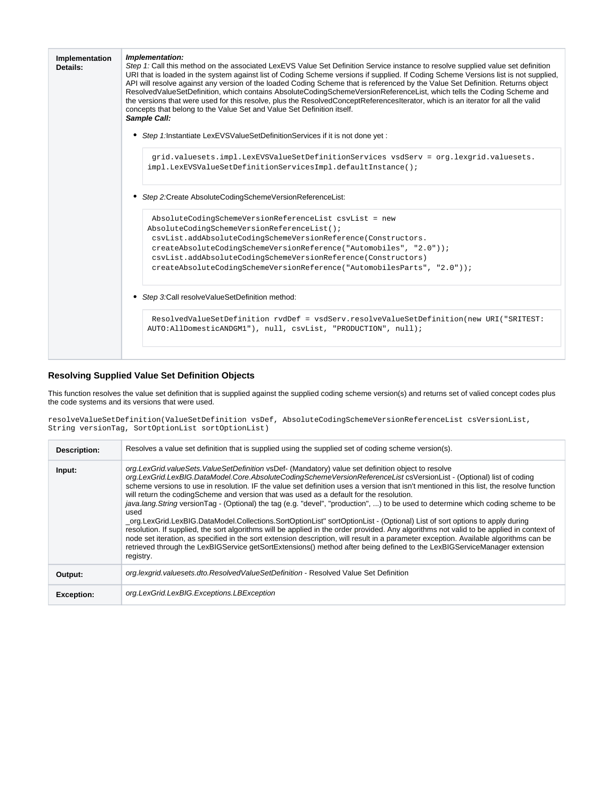| Implementation<br>Details: | Implementation:<br>Step 1: Call this method on the associated LexEVS Value Set Definition Service instance to resolve supplied value set definition<br>URI that is loaded in the system against list of Coding Scheme versions if supplied. If Coding Scheme Versions list is not supplied,<br>API will resolve against any version of the loaded Coding Scheme that is referenced by the Value Set Definition. Returns object<br>ResolvedValueSetDefinition, which contains AbsoluteCodingSchemeVersionReferenceList, which tells the Coding Scheme and<br>the versions that were used for this resolve, plus the ResolvedConceptReferencesIterator, which is an iterator for all the valid<br>concepts that belong to the Value Set and Value Set Definition itself.<br>Sample Call: |
|----------------------------|----------------------------------------------------------------------------------------------------------------------------------------------------------------------------------------------------------------------------------------------------------------------------------------------------------------------------------------------------------------------------------------------------------------------------------------------------------------------------------------------------------------------------------------------------------------------------------------------------------------------------------------------------------------------------------------------------------------------------------------------------------------------------------------|
|                            | Step 1: Instantiate LexEVSValueSetDefinitionServices if it is not done yet:                                                                                                                                                                                                                                                                                                                                                                                                                                                                                                                                                                                                                                                                                                            |
|                            | grid.valuesets.impl.LexEVSValueSetDefinitionServices vsdServ = org.lexgrid.valuesets.<br>impl.LexEVSValueSetDefinitionServicesImpl.defaultInstance();                                                                                                                                                                                                                                                                                                                                                                                                                                                                                                                                                                                                                                  |
|                            | Step 2: Create Absolute Coding Scheme Version Reference List:                                                                                                                                                                                                                                                                                                                                                                                                                                                                                                                                                                                                                                                                                                                          |
|                            | AbsoluteCodingSchemeVersionReferenceList csvList = new<br>AbsoluteCodingSchemeVersionReferenceList();<br>csvList.addAbsoluteCodingSchemeVersionReference(Constructors.                                                                                                                                                                                                                                                                                                                                                                                                                                                                                                                                                                                                                 |
|                            | createAbsoluteCodingSchemeVersionReference("Automobiles", "2.0"));                                                                                                                                                                                                                                                                                                                                                                                                                                                                                                                                                                                                                                                                                                                     |
|                            | csvList.addAbsoluteCodingSchemeVersionReference(Constructors)<br>createAbsoluteCodingSchemeVersionReference("AutomobilesParts", "2.0"));                                                                                                                                                                                                                                                                                                                                                                                                                                                                                                                                                                                                                                               |
|                            | Step 3:Call resolveValueSetDefinition method:                                                                                                                                                                                                                                                                                                                                                                                                                                                                                                                                                                                                                                                                                                                                          |
|                            | ResolvedValueSetDefinition rvdDef = vsdServ.resolveValueSetDefinition(new URI("SRITEST:<br>AUTO:AllDomesticANDGM1"), null, csvList, "PRODUCTION", null);                                                                                                                                                                                                                                                                                                                                                                                                                                                                                                                                                                                                                               |
|                            |                                                                                                                                                                                                                                                                                                                                                                                                                                                                                                                                                                                                                                                                                                                                                                                        |

### <span id="page-17-0"></span>**Resolving Supplied Value Set Definition Objects**

This function resolves the value set definition that is supplied against the supplied coding scheme version(s) and returns set of valied concept codes plus the code systems and its versions that were used.

resolveValueSetDefinition(ValueSetDefinition vsDef, AbsoluteCodingSchemeVersionReferenceList csVersionList, String versionTag, SortOptionList sortOptionList)

| Description:      | Resolves a value set definition that is supplied using the supplied set of coding scheme version(s).                                                                                                                                                                                                                                                                                                                                                                                                                                                                                                                                                                                                                                                                                                                                                                                                                                                                                                                                                                                                                                                                         |
|-------------------|------------------------------------------------------------------------------------------------------------------------------------------------------------------------------------------------------------------------------------------------------------------------------------------------------------------------------------------------------------------------------------------------------------------------------------------------------------------------------------------------------------------------------------------------------------------------------------------------------------------------------------------------------------------------------------------------------------------------------------------------------------------------------------------------------------------------------------------------------------------------------------------------------------------------------------------------------------------------------------------------------------------------------------------------------------------------------------------------------------------------------------------------------------------------------|
| Input:            | org.LexGrid.valueSets.ValueSetDefinition vsDef- (Mandatory) value set definition object to resolve<br>org.LexGrid.LexBIG.DataModel.Core.AbsoluteCodingSchemeVersionReferenceList csVersionList - (Optional) list of coding<br>scheme versions to use in resolution. IF the value set definition uses a version that isn't mentioned in this list, the resolve function<br>will return the coding Scheme and version that was used as a default for the resolution.<br>java.lang. String version Tag - (Optional) the tag (e.g. "devel", "production", ) to be used to determine which coding scheme to be<br>used<br>org.LexGrid.LexBIG.DataModel.Collections.SortOptionList" sortOptionList - (Optional) List of sort options to apply during<br>resolution. If supplied, the sort algorithms will be applied in the order provided. Any algorithms not valid to be applied in context of<br>node set iteration, as specified in the sort extension description, will result in a parameter exception. Available algorithms can be<br>retrieved through the LexBIGService getSortExtensions() method after being defined to the LexBIGServiceManager extension<br>registry. |
| Output:           | org.lexgrid.valuesets.dto.ResolvedValueSetDefinition - Resolved Value Set Definition                                                                                                                                                                                                                                                                                                                                                                                                                                                                                                                                                                                                                                                                                                                                                                                                                                                                                                                                                                                                                                                                                         |
| <b>Exception:</b> | org.LexGrid.LexBIG.Exceptions.LBException                                                                                                                                                                                                                                                                                                                                                                                                                                                                                                                                                                                                                                                                                                                                                                                                                                                                                                                                                                                                                                                                                                                                    |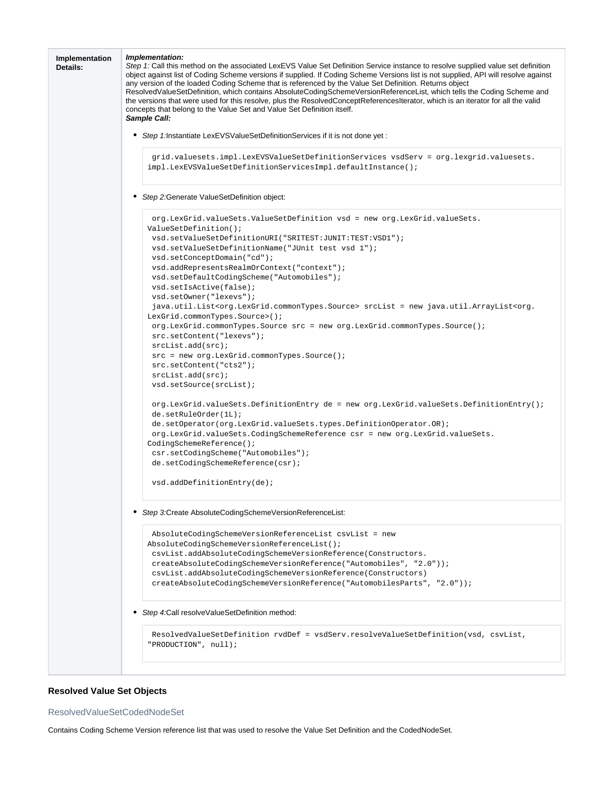

### <span id="page-18-0"></span>**Resolved Value Set Objects**

#### <span id="page-18-1"></span>ResolvedValueSetCodedNodeSet

Contains Coding Scheme Version reference list that was used to resolve the Value Set Definition and the CodedNodeSet.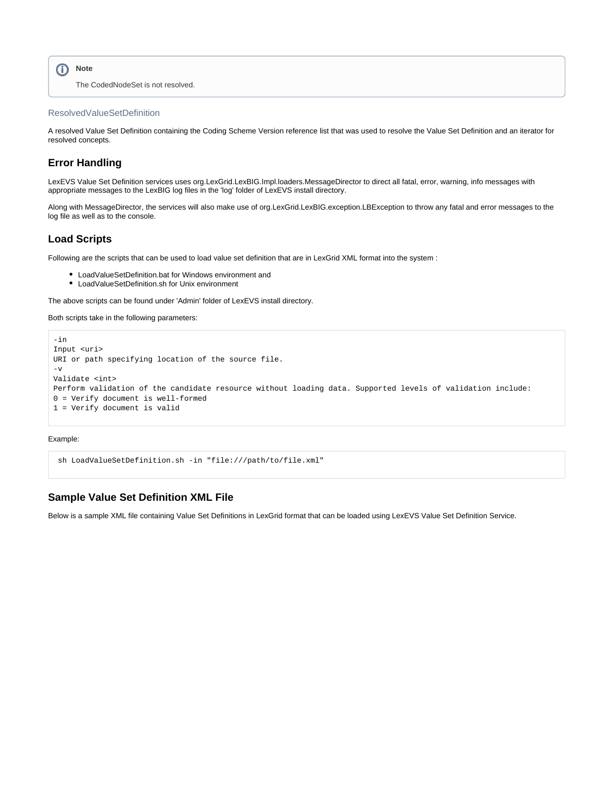```
Note
    The CodedNodeSet is not resolved.
```
#### <span id="page-19-0"></span>ResolvedValueSetDefinition

A resolved Value Set Definition containing the Coding Scheme Version reference list that was used to resolve the Value Set Definition and an iterator for resolved concepts.

### <span id="page-19-1"></span>**Error Handling**

LexEVS Value Set Definition services uses org.LexGrid.LexBIG.Impl.loaders.MessageDirector to direct all fatal, error, warning, info messages with appropriate messages to the LexBIG log files in the 'log' folder of LexEVS install directory.

Along with MessageDirector, the services will also make use of org.LexGrid.LexBIG.exception.LBException to throw any fatal and error messages to the log file as well as to the console.

### <span id="page-19-2"></span>**Load Scripts**

Following are the scripts that can be used to load value set definition that are in LexGrid XML format into the system :

- LoadValueSetDefinition.bat for Windows environment and
- LoadValueSetDefinition.sh for Unix environment

The above scripts can be found under 'Admin' folder of LexEVS install directory.

Both scripts take in the following parameters:

```
-in 
Input <uri> 
URI or path specifying location of the source file.
-vValidate <int> 
Perform validation of the candidate resource without loading data. Supported levels of validation include:
0 = Verify document is well-formed 
1 = Verify document is valid
```
Example:

```
 sh LoadValueSetDefinition.sh -in "file:///path/to/file.xml"
```
#### <span id="page-19-3"></span>**Sample Value Set Definition XML File**

Below is a sample XML file containing Value Set Definitions in LexGrid format that can be loaded using LexEVS Value Set Definition Service.